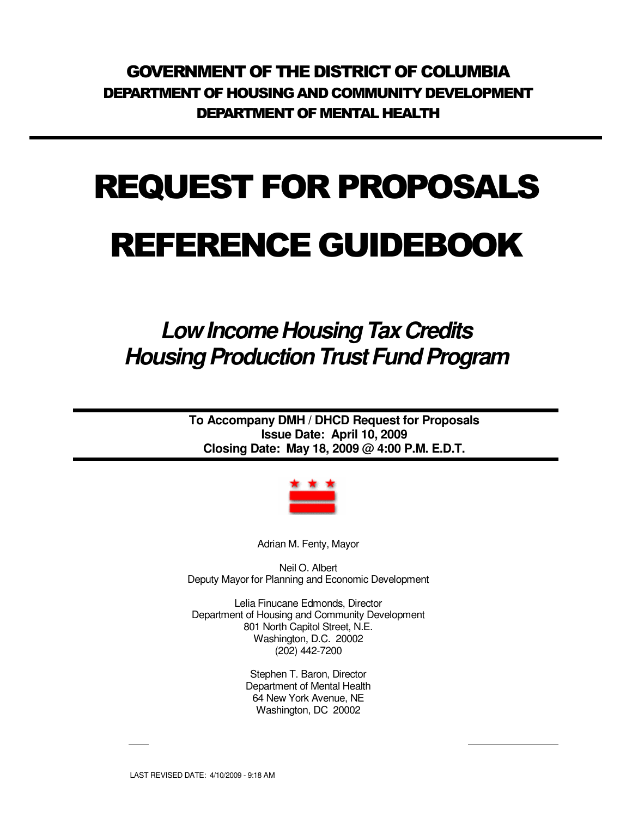GOVERNMENT OF THE DISTRICT OF COLUMBIA DEPARTMENT OF HOUSING AND COMMUNITY DEVELOPMENT DEPARTMENT OF MENTAL HEALTH

# REQUEST FOR PROPOSALS

# REFERENCE GUIDEBOOK

# **Low Income Housing Tax Credits Housing Production Trust Fund Program**

**To Accompany DMH / DHCD Request for Proposals Issue Date: April 10, 2009 Closing Date: May 18, 2009 @ 4:00 P.M. E.D.T.** 



Adrian M. Fenty, Mayor

Neil O. Albert Deputy Mayor for Planning and Economic Development

Lelia Finucane Edmonds, Director Department of Housing and Community Development 801 North Capitol Street, N.E. Washington, D.C. 20002 (202) 442-7200

> Stephen T. Baron, Director Department of Mental Health 64 New York Avenue, NE Washington, DC 20002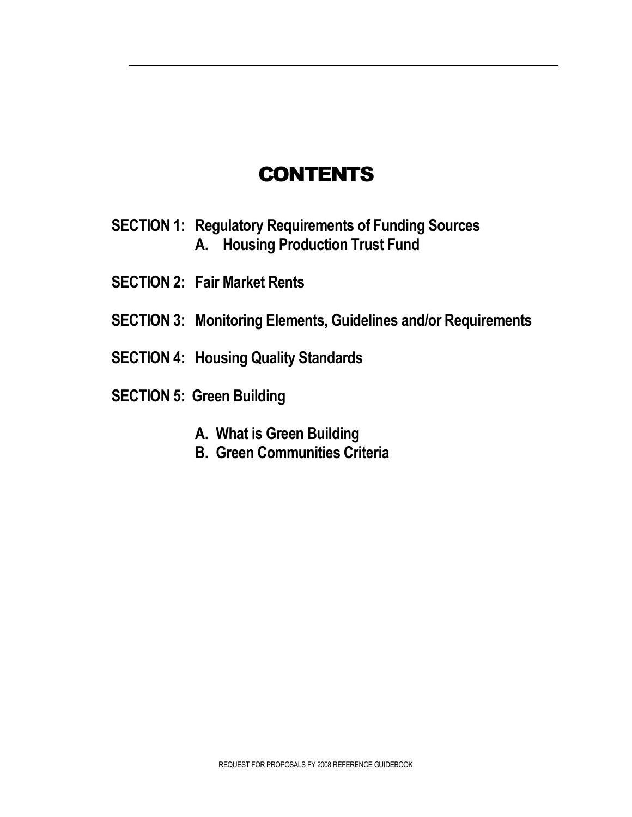### **CONTENTS**

- **SECTION 1: Regulatory Requirements of Funding Sources A. Housing Production Trust Fund**
- **SECTION 2: Fair Market Rents**
- **SECTION 3: Monitoring Elements, Guidelines and/or Requirements**
- **SECTION 4: Housing Quality Standards**
- **SECTION 5: Green Building** 
	- **A. What is Green Building**
	- **B. Green Communities Criteria**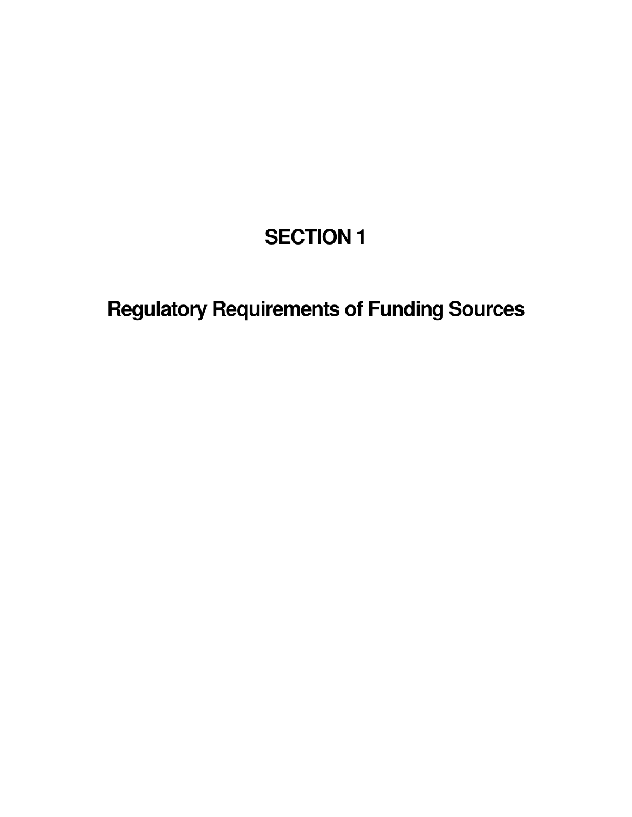# **SECTION 1**

**Regulatory Requirements of Funding Sources**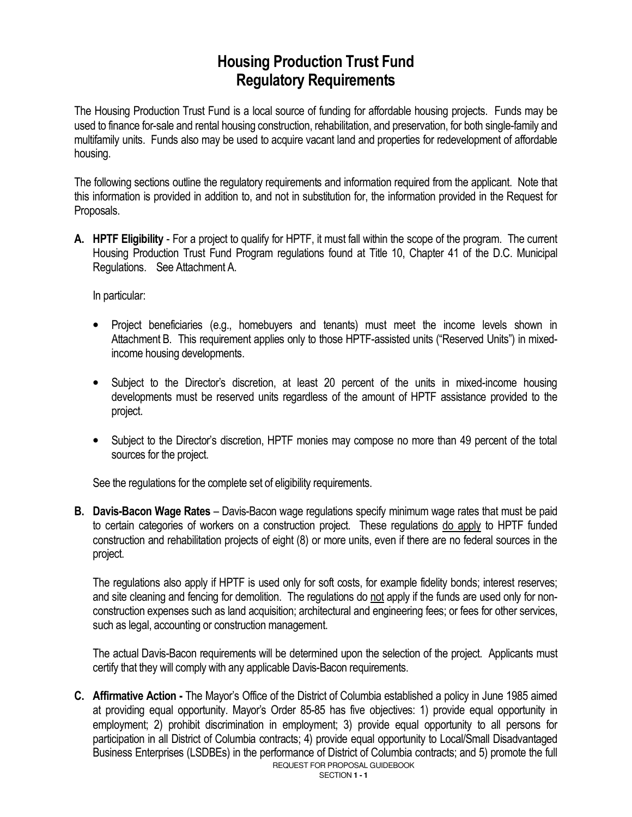### **Housing Production Trust Fund Regulatory Requirements**

The Housing Production Trust Fund is a local source of funding for affordable housing projects. Funds may be used to finance for-sale and rental housing construction, rehabilitation, and preservation, for both single-family and multifamily units. Funds also may be used to acquire vacant land and properties for redevelopment of affordable housing.

The following sections outline the regulatory requirements and information required from the applicant. Note that this information is provided in addition to, and not in substitution for, the information provided in the Request for Proposals.

**A. HPTF Eligibility** - For a project to qualify for HPTF, it must fall within the scope of the program. The current Housing Production Trust Fund Program regulations found at Title 10, Chapter 41 of the D.C. Municipal Regulations. See Attachment A.

In particular:

- Project beneficiaries (e.g., homebuyers and tenants) must meet the income levels shown in Attachment B. This requirement applies only to those HPTF-assisted units ("Reserved Units") in mixedincome housing developments.
- Subject to the Director's discretion, at least 20 percent of the units in mixed-income housing developments must be reserved units regardless of the amount of HPTF assistance provided to the project.
- Subject to the Director's discretion, HPTF monies may compose no more than 49 percent of the total sources for the project.

See the regulations for the complete set of eligibility requirements.

**B. Davis-Bacon Wage Rates** – Davis-Bacon wage regulations specify minimum wage rates that must be paid to certain categories of workers on a construction project. These regulations do apply to HPTF funded construction and rehabilitation projects of eight (8) or more units, even if there are no federal sources in the project.

The regulations also apply if HPTF is used only for soft costs, for example fidelity bonds; interest reserves; and site cleaning and fencing for demolition. The regulations do not apply if the funds are used only for nonconstruction expenses such as land acquisition; architectural and engineering fees; or fees for other services, such as legal, accounting or construction management.

The actual Davis-Bacon requirements will be determined upon the selection of the project. Applicants must certify that they will comply with any applicable Davis-Bacon requirements.

REQUEST FOR PROPOSAL GUIDEBOOK **C. Affirmative Action -** The Mayor's Office of the District of Columbia established a policy in June 1985 aimed at providing equal opportunity. Mayor's Order 85-85 has five objectives: 1) provide equal opportunity in employment; 2) prohibit discrimination in employment; 3) provide equal opportunity to all persons for participation in all District of Columbia contracts; 4) provide equal opportunity to Local/Small Disadvantaged Business Enterprises (LSDBEs) in the performance of District of Columbia contracts; and 5) promote the full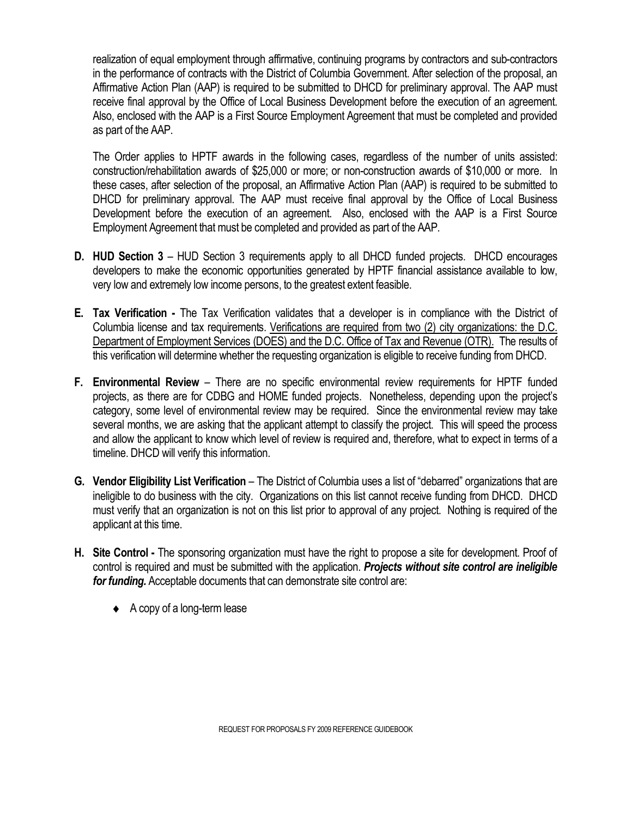realization of equal employment through affirmative, continuing programs by contractors and sub-contractors in the performance of contracts with the District of Columbia Government. After selection of the proposal, an Affirmative Action Plan (AAP) is required to be submitted to DHCD for preliminary approval. The AAP must receive final approval by the Office of Local Business Development before the execution of an agreement. Also, enclosed with the AAP is a First Source Employment Agreement that must be completed and provided as part of the AAP.

The Order applies to HPTF awards in the following cases, regardless of the number of units assisted: construction/rehabilitation awards of \$25,000 or more; or non-construction awards of \$10,000 or more. In these cases, after selection of the proposal, an Affirmative Action Plan (AAP) is required to be submitted to DHCD for preliminary approval. The AAP must receive final approval by the Office of Local Business Development before the execution of an agreement. Also, enclosed with the AAP is a First Source Employment Agreement that must be completed and provided as part of the AAP.

- **D. HUD Section 3**  HUD Section 3 requirements apply to all DHCD funded projects. DHCD encourages developers to make the economic opportunities generated by HPTF financial assistance available to low, very low and extremely low income persons, to the greatest extent feasible.
- **E. Tax Verification -** The Tax Verification validates that a developer is in compliance with the District of Columbia license and tax requirements. Verifications are required from two (2) city organizations: the D.C. Department of Employment Services (DOES) and the D.C. Office of Tax and Revenue (OTR). The results of this verification will determine whether the requesting organization is eligible to receive funding from DHCD.
- **F. Environmental Review**  There are no specific environmental review requirements for HPTF funded projects, as there are for CDBG and HOME funded projects. Nonetheless, depending upon the project's category, some level of environmental review may be required. Since the environmental review may take several months, we are asking that the applicant attempt to classify the project. This will speed the process and allow the applicant to know which level of review is required and, therefore, what to expect in terms of a timeline. DHCD will verify this information.
- **G. Vendor Eligibility List Verification** The District of Columbia uses a list of "debarred" organizations that are ineligible to do business with the city. Organizations on this list cannot receive funding from DHCD. DHCD must verify that an organization is not on this list prior to approval of any project. Nothing is required of the applicant at this time.
- **H. Site Control -** The sponsoring organization must have the right to propose a site for development. Proof of control is required and must be submitted with the application. *Projects without site control are ineligible for funding.* Acceptable documents that can demonstrate site control are:
	- $\leftrightarrow$  A copy of a long-term lease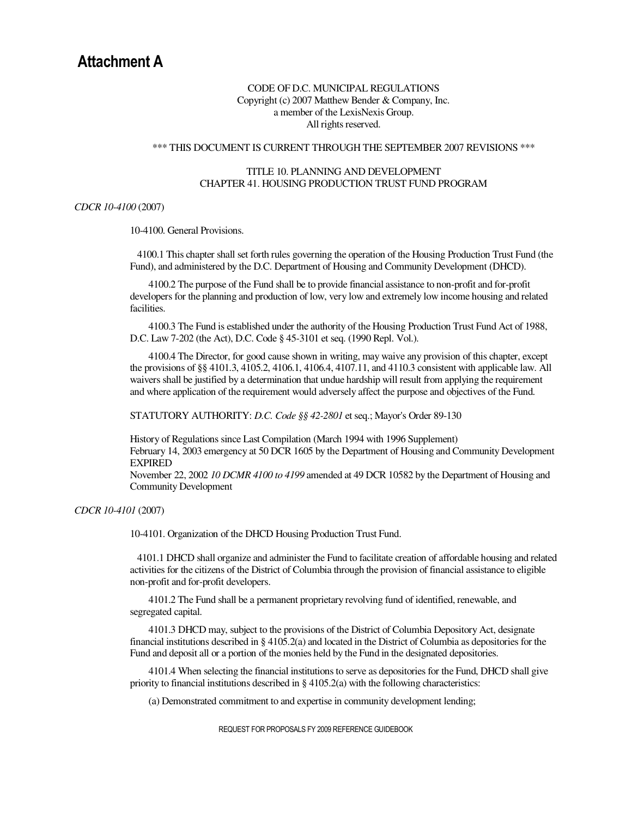#### CODE OF D.C. MUNICIPAL REGULATIONS Copyright (c) 2007 Matthew Bender & Company, Inc. a member of the LexisNexis Group. All rights reserved.

#### \*\*\* THIS DOCUMENT IS CURRENT THROUGH THE SEPTEMBER 2007 REVISIONS \*\*\*

#### TITLE 10. PLANNING AND DEVELOPMENT CHAPTER 41. HOUSING PRODUCTION TRUST FUND PROGRAM

#### *CDCR 10-4100* (2007)

10-4100. General Provisions.

 4100.1 This chapter shall set forth rules governing the operation of the Housing Production Trust Fund (the Fund), and administered by the D.C. Department of Housing and Community Development (DHCD).

4100.2 The purpose of the Fund shall be to provide financial assistance to non-profit and for-profit developers for the planning and production of low, very low and extremely low income housing and related facilities.

4100.3 The Fund is established under the authority of the Housing Production Trust Fund Act of 1988, D.C. Law 7-202 (the Act), D.C. Code § 45-3101 et seq. (1990 Repl. Vol.).

4100.4 The Director, for good cause shown in writing, may waive any provision of this chapter, except the provisions of §§ 4101.3, 4105.2, 4106.1, 4106.4, 4107.11, and 4110.3 consistent with applicable law. All waivers shall be justified by a determination that undue hardship will result from applying the requirement and where application of the requirement would adversely affect the purpose and objectives of the Fund.

STATUTORY AUTHORITY: *D.C. Code §§ 42-2801* et seq.; Mayor's Order 89-130

History of Regulations since Last Compilation (March 1994 with 1996 Supplement) February 14, 2003 emergency at 50 DCR 1605 by the Department of Housing and Community Development EXPIRED

November 22, 2002 *10 DCMR 4100 to 4199* amended at 49 DCR 10582 by the Department of Housing and Community Development

#### *CDCR 10-4101* (2007)

10-4101. Organization of the DHCD Housing Production Trust Fund.

 4101.1 DHCD shall organize and administer the Fund to facilitate creation of affordable housing and related activities for the citizens of the District of Columbia through the provision of financial assistance to eligible non-profit and for-profit developers.

4101.2 The Fund shall be a permanent proprietary revolving fund of identified, renewable, and segregated capital.

4101.3 DHCD may, subject to the provisions of the District of Columbia Depository Act, designate financial institutions described in § 4105.2(a) and located in the District of Columbia as depositories for the Fund and deposit all or a portion of the monies held by the Fund in the designated depositories.

4101.4 When selecting the financial institutions to serve as depositories for the Fund, DHCD shall give priority to financial institutions described in  $\S 4105.2(a)$  with the following characteristics:

(a) Demonstrated commitment to and expertise in community development lending;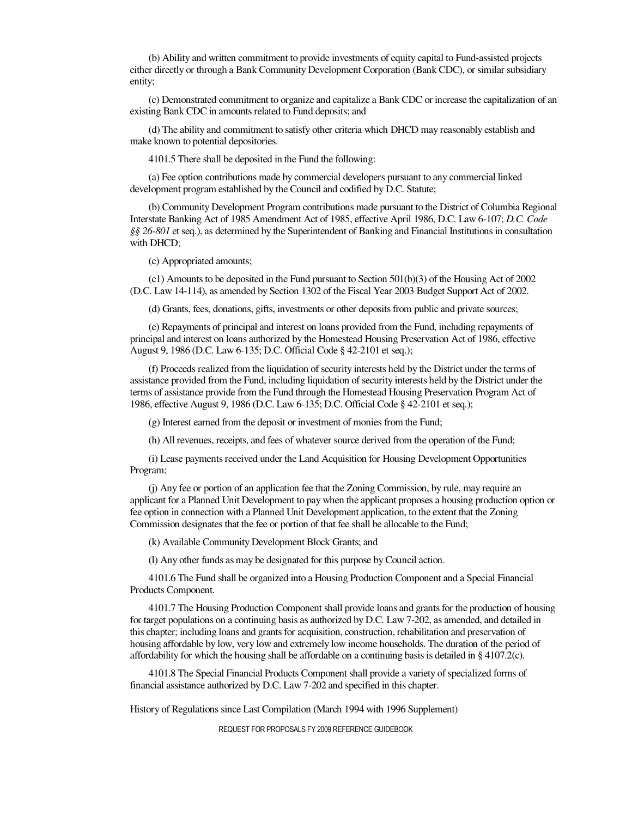(b) Ability and written commitment to provide investments of equity capital to Fund-assisted projects either directly or through a Bank Community Development Corporation (Bank CDC), or similar subsidiary entity;

(c) Demonstrated commitment to organize and capitalize a Bank CDC or increase the capitalization of an existing Bank CDC in amounts related to Fund deposits; and

(d) The ability and commitment to satisfy other criteria which DHCD may reasonably establish and make known to potential depositories.

4101.5 There shall be deposited in the Fund the following:

(a) Fee option contributions made by commercial developers pursuant to any commercial linked development program established by the Council and codified by D.C. Statute;

(b) Community Development Program contributions made pursuant to the District of Columbia Regional Interstate Banking Act of 1985 Amendment Act of 1985, effective April 1986, D.C. Law 6-107; *D.C. Code §§ 26-801* et seq.), as determined by the Superintendent of Banking and Financial Institutions in consultation with DHCD;

(c) Appropriated amounts;

(c1) Amounts to be deposited in the Fund pursuant to Section 501(b)(3) of the Housing Act of 2002 (D.C. Law 14-114), as amended by Section 1302 of the Fiscal Year 2003 Budget Support Act of 2002.

(d) Grants, fees, donations, gifts, investments or other deposits from public and private sources;

(e) Repayments of principal and interest on loans provided from the Fund, including repayments of principal and interest on loans authorized by the Homestead Housing Preservation Act of 1986, effective August 9, 1986 (D.C. Law 6-135; D.C. Official Code § 42-2101 et seq.);

(f) Proceeds realized from the liquidation of security interests held by the District under the terms of assistance provided from the Fund, including liquidation of security interests held by the District under the terms of assistance provide from the Fund through the Homestead Housing Preservation Program Act of 1986, effective August 9, 1986 (D.C. Law 6-135; D.C. Official Code § 42-2101 et seq.);

(g) Interest earned from the deposit or investment of monies from the Fund;

(h) All revenues, receipts, and fees of whatever source derived from the operation of the Fund;

(i) Lease payments received under the Land Acquisition for Housing Development Opportunities Program;

(j) Any fee or portion of an application fee that the Zoning Commission, by rule, may require an applicant for a Planned Unit Development to pay when the applicant proposes a housing production option or fee option in connection with a Planned Unit Development application, to the extent that the Zoning Commission designates that the fee or portion of that fee shall be allocable to the Fund;

(k) Available Community Development Block Grants; and

(l) Any other funds as may be designated for this purpose by Council action.

4101.6 The Fund shall be organized into a Housing Production Component and a Special Financial Products Component.

4101.7 The Housing Production Component shall provide loans and grants for the production of housing for target populations on a continuing basis as authorized by D.C. Law 7-202, as amended, and detailed in this chapter; including loans and grants for acquisition, construction, rehabilitation and preservation of housing affordable by low, very low and extremely low income households. The duration of the period of affordability for which the housing shall be affordable on a continuing basis is detailed in § 4107.2(c).

4101.8 The Special Financial Products Component shall provide a variety of specialized forms of financial assistance authorized by D.C. Law 7-202 and specified in this chapter.

History of Regulations since Last Compilation (March 1994 with 1996 Supplement)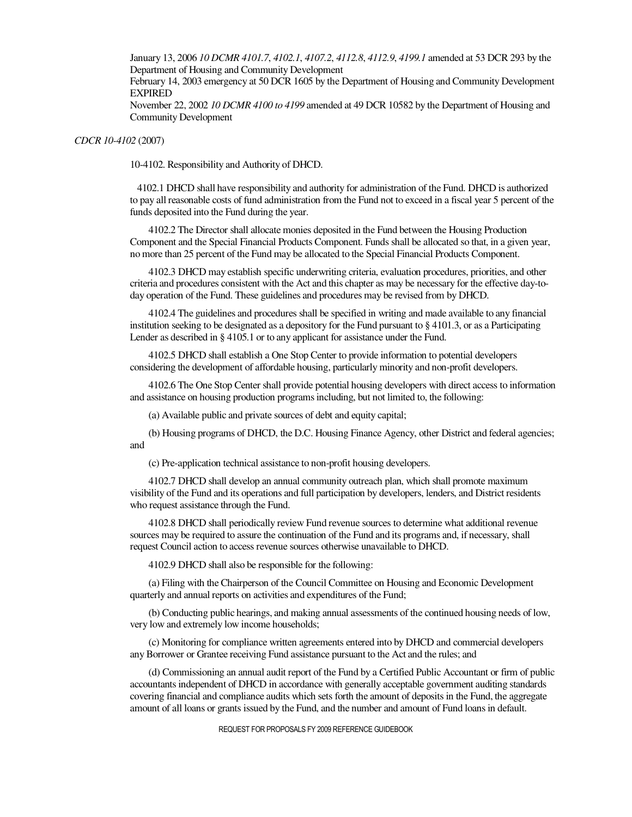January 13, 2006 *10 DCMR 4101.7*, *4102.1*, *4107.2*, *4112.8*, *4112.9*, *4199.1* amended at 53 DCR 293 by the Department of Housing and Community Development

February 14, 2003 emergency at 50 DCR 1605 by the Department of Housing and Community Development EXPIRED

November 22, 2002 *10 DCMR 4100 to 4199* amended at 49 DCR 10582 by the Department of Housing and Community Development

*CDCR 10-4102* (2007)

10-4102. Responsibility and Authority of DHCD.

 4102.1 DHCD shall have responsibility and authority for administration of the Fund. DHCD is authorized to pay all reasonable costs of fund administration from the Fund not to exceed in a fiscal year 5 percent of the funds deposited into the Fund during the year.

4102.2 The Director shall allocate monies deposited in the Fund between the Housing Production Component and the Special Financial Products Component. Funds shall be allocated so that, in a given year, no more than 25 percent of the Fund may be allocated to the Special Financial Products Component.

4102.3 DHCD may establish specific underwriting criteria, evaluation procedures, priorities, and other criteria and procedures consistent with the Act and this chapter as may be necessary for the effective day-today operation of the Fund. These guidelines and procedures may be revised from by DHCD.

4102.4 The guidelines and procedures shall be specified in writing and made available to any financial institution seeking to be designated as a depository for the Fund pursuant to § 4101.3, or as a Participating Lender as described in § 4105.1 or to any applicant for assistance under the Fund.

4102.5 DHCD shall establish a One Stop Center to provide information to potential developers considering the development of affordable housing, particularly minority and non-profit developers.

4102.6 The One Stop Center shall provide potential housing developers with direct access to information and assistance on housing production programs including, but not limited to, the following:

(a) Available public and private sources of debt and equity capital;

(b) Housing programs of DHCD, the D.C. Housing Finance Agency, other District and federal agencies; and

(c) Pre-application technical assistance to non-profit housing developers.

4102.7 DHCD shall develop an annual community outreach plan, which shall promote maximum visibility of the Fund and its operations and full participation by developers, lenders, and District residents who request assistance through the Fund.

4102.8 DHCD shall periodically review Fund revenue sources to determine what additional revenue sources may be required to assure the continuation of the Fund and its programs and, if necessary, shall request Council action to access revenue sources otherwise unavailable to DHCD.

4102.9 DHCD shall also be responsible for the following:

(a) Filing with the Chairperson of the Council Committee on Housing and Economic Development quarterly and annual reports on activities and expenditures of the Fund;

(b) Conducting public hearings, and making annual assessments of the continued housing needs of low, very low and extremely low income households;

(c) Monitoring for compliance written agreements entered into by DHCD and commercial developers any Borrower or Grantee receiving Fund assistance pursuant to the Act and the rules; and

(d) Commissioning an annual audit report of the Fund by a Certified Public Accountant or firm of public accountants independent of DHCD in accordance with generally acceptable government auditing standards covering financial and compliance audits which sets forth the amount of deposits in the Fund, the aggregate amount of all loans or grants issued by the Fund, and the number and amount of Fund loans in default.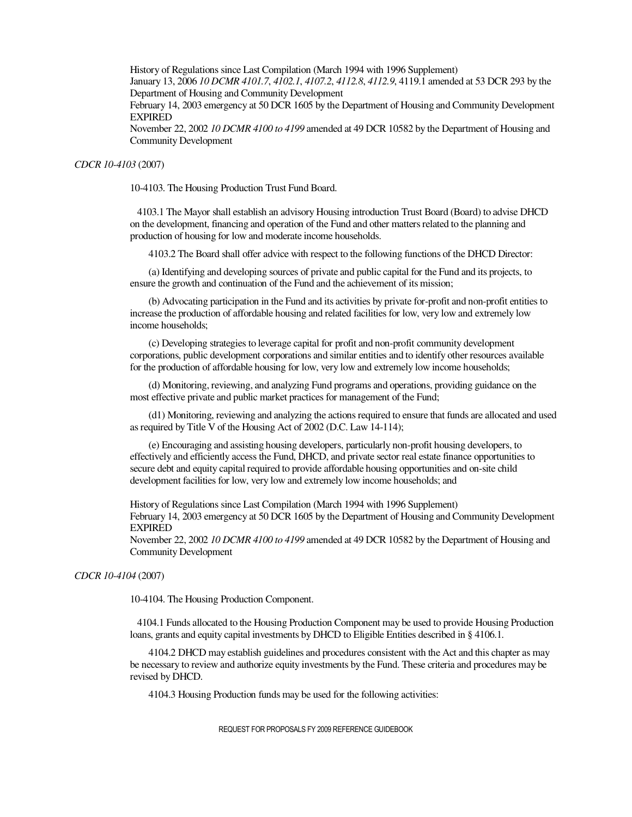History of Regulations since Last Compilation (March 1994 with 1996 Supplement) January 13, 2006 *10 DCMR 4101.7*, *4102.1*, *4107.2*, *4112.8*, *4112.9*, 4119.1 amended at 53 DCR 293 by the Department of Housing and Community Development

February 14, 2003 emergency at 50 DCR 1605 by the Department of Housing and Community Development EXPIRED

November 22, 2002 *10 DCMR 4100 to 4199* amended at 49 DCR 10582 by the Department of Housing and Community Development

#### *CDCR 10-4103* (2007)

10-4103. The Housing Production Trust Fund Board.

 4103.1 The Mayor shall establish an advisory Housing introduction Trust Board (Board) to advise DHCD on the development, financing and operation of the Fund and other matters related to the planning and production of housing for low and moderate income households.

4103.2 The Board shall offer advice with respect to the following functions of the DHCD Director:

(a) Identifying and developing sources of private and public capital for the Fund and its projects, to ensure the growth and continuation of the Fund and the achievement of its mission;

(b) Advocating participation in the Fund and its activities by private for-profit and non-profit entities to increase the production of affordable housing and related facilities for low, very low and extremely low income households;

(c) Developing strategies to leverage capital for profit and non-profit community development corporations, public development corporations and similar entities and to identify other resources available for the production of affordable housing for low, very low and extremely low income households;

(d) Monitoring, reviewing, and analyzing Fund programs and operations, providing guidance on the most effective private and public market practices for management of the Fund;

(d1) Monitoring, reviewing and analyzing the actions required to ensure that funds are allocated and used as required by Title V of the Housing Act of 2002 (D.C. Law 14-114);

(e) Encouraging and assisting housing developers, particularly non-profit housing developers, to effectively and efficiently access the Fund, DHCD, and private sector real estate finance opportunities to secure debt and equity capital required to provide affordable housing opportunities and on-site child development facilities for low, very low and extremely low income households; and

History of Regulations since Last Compilation (March 1994 with 1996 Supplement) February 14, 2003 emergency at 50 DCR 1605 by the Department of Housing and Community Development EXPIRED

November 22, 2002 *10 DCMR 4100 to 4199* amended at 49 DCR 10582 by the Department of Housing and Community Development

#### *CDCR 10-4104* (2007)

10-4104. The Housing Production Component.

 4104.1 Funds allocated to the Housing Production Component may be used to provide Housing Production loans, grants and equity capital investments by DHCD to Eligible Entities described in § 4106.1.

4104.2 DHCD may establish guidelines and procedures consistent with the Act and this chapter as may be necessary to review and authorize equity investments by the Fund. These criteria and procedures may be revised by DHCD.

4104.3 Housing Production funds may be used for the following activities: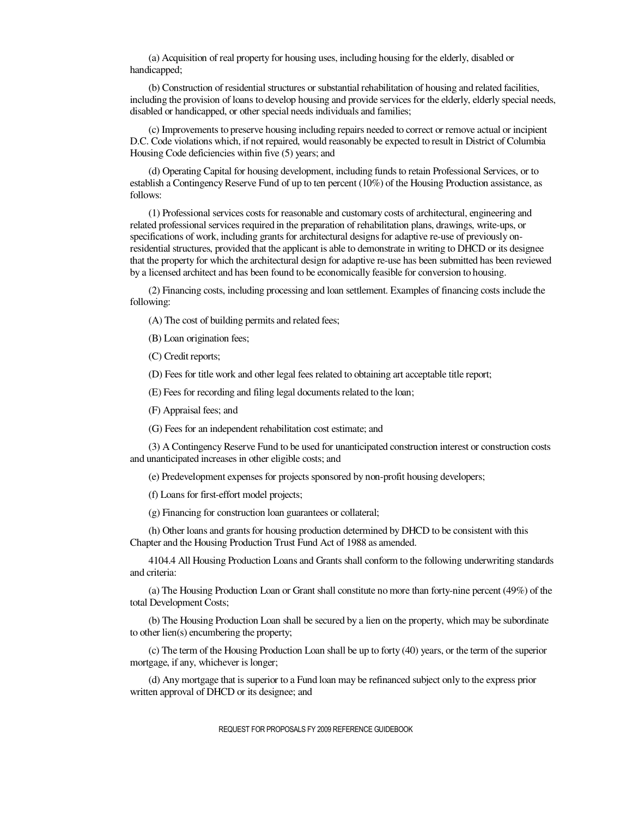(a) Acquisition of real property for housing uses, including housing for the elderly, disabled or handicapped;

(b) Construction of residential structures or substantial rehabilitation of housing and related facilities, including the provision of loans to develop housing and provide services for the elderly, elderly special needs, disabled or handicapped, or other special needs individuals and families;

(c) Improvements to preserve housing including repairs needed to correct or remove actual or incipient D.C. Code violations which, if not repaired, would reasonably be expected to result in District of Columbia Housing Code deficiencies within five (5) years; and

(d) Operating Capital for housing development, including funds to retain Professional Services, or to establish a Contingency Reserve Fund of up to ten percent (10%) of the Housing Production assistance, as follows:

(1) Professional services costs for reasonable and customary costs of architectural, engineering and related professional services required in the preparation of rehabilitation plans, drawings, write-ups, or specifications of work, including grants for architectural designs for adaptive re-use of previously onresidential structures, provided that the applicant is able to demonstrate in writing to DHCD or its designee that the property for which the architectural design for adaptive re-use has been submitted has been reviewed by a licensed architect and has been found to be economically feasible for conversion to housing.

(2) Financing costs, including processing and loan settlement. Examples of financing costs include the following:

(A) The cost of building permits and related fees;

(B) Loan origination fees;

(C) Credit reports;

(D) Fees for title work and other legal fees related to obtaining art acceptable title report;

(E) Fees for recording and filing legal documents related to the loan;

(F) Appraisal fees; and

(G) Fees for an independent rehabilitation cost estimate; and

(3) A Contingency Reserve Fund to be used for unanticipated construction interest or construction costs and unanticipated increases in other eligible costs; and

(e) Predevelopment expenses for projects sponsored by non-profit housing developers;

(f) Loans for first-effort model projects;

(g) Financing for construction loan guarantees or collateral;

(h) Other loans and grants for housing production determined by DHCD to be consistent with this Chapter and the Housing Production Trust Fund Act of 1988 as amended.

4104.4 All Housing Production Loans and Grants shall conform to the following underwriting standards and criteria:

(a) The Housing Production Loan or Grant shall constitute no more than forty-nine percent (49%) of the total Development Costs;

(b) The Housing Production Loan shall be secured by a lien on the property, which may be subordinate to other lien(s) encumbering the property;

(c) The term of the Housing Production Loan shall be up to forty (40) years, or the term of the superior mortgage, if any, whichever is longer;

(d) Any mortgage that is superior to a Fund loan may be refinanced subject only to the express prior written approval of DHCD or its designee; and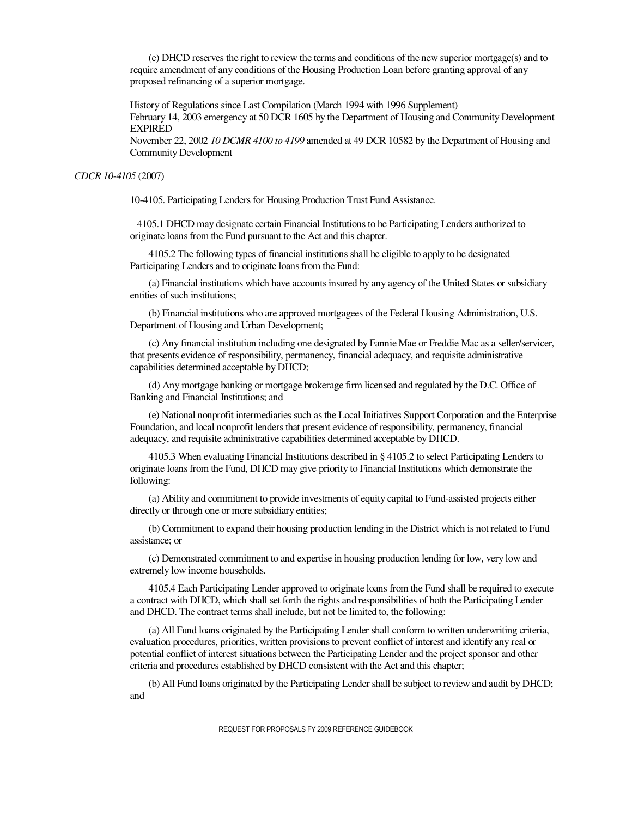(e) DHCD reserves the right to review the terms and conditions of the new superior mortgage(s) and to require amendment of any conditions of the Housing Production Loan before granting approval of any proposed refinancing of a superior mortgage.

History of Regulations since Last Compilation (March 1994 with 1996 Supplement) February 14, 2003 emergency at 50 DCR 1605 by the Department of Housing and Community Development EXPIRED

November 22, 2002 *10 DCMR 4100 to 4199* amended at 49 DCR 10582 by the Department of Housing and Community Development

#### *CDCR 10-4105* (2007)

10-4105. Participating Lenders for Housing Production Trust Fund Assistance.

 4105.1 DHCD may designate certain Financial Institutions to be Participating Lenders authorized to originate loans from the Fund pursuant to the Act and this chapter.

4105.2 The following types of financial institutions shall be eligible to apply to be designated Participating Lenders and to originate loans from the Fund:

(a) Financial institutions which have accounts insured by any agency of the United States or subsidiary entities of such institutions;

(b) Financial institutions who are approved mortgagees of the Federal Housing Administration, U.S. Department of Housing and Urban Development;

(c) Any financial institution including one designated by Fannie Mae or Freddie Mac as a seller/servicer, that presents evidence of responsibility, permanency, financial adequacy, and requisite administrative capabilities determined acceptable by DHCD;

(d) Any mortgage banking or mortgage brokerage firm licensed and regulated by the D.C. Office of Banking and Financial Institutions; and

(e) National nonprofit intermediaries such as the Local Initiatives Support Corporation and the Enterprise Foundation, and local nonprofit lenders that present evidence of responsibility, permanency, financial adequacy, and requisite administrative capabilities determined acceptable by DHCD.

4105.3 When evaluating Financial Institutions described in § 4105.2 to select Participating Lenders to originate loans from the Fund, DHCD may give priority to Financial Institutions which demonstrate the following:

(a) Ability and commitment to provide investments of equity capital to Fund-assisted projects either directly or through one or more subsidiary entities;

(b) Commitment to expand their housing production lending in the District which is not related to Fund assistance; or

(c) Demonstrated commitment to and expertise in housing production lending for low, very low and extremely low income households.

4105.4 Each Participating Lender approved to originate loans from the Fund shall be required to execute a contract with DHCD, which shall set forth the rights and responsibilities of both the Participating Lender and DHCD. The contract terms shall include, but not be limited to, the following:

(a) All Fund loans originated by the Participating Lender shall conform to written underwriting criteria, evaluation procedures, priorities, written provisions to prevent conflict of interest and identify any real or potential conflict of interest situations between the Participating Lender and the project sponsor and other criteria and procedures established by DHCD consistent with the Act and this chapter;

(b) All Fund loans originated by the Participating Lender shall be subject to review and audit by DHCD; and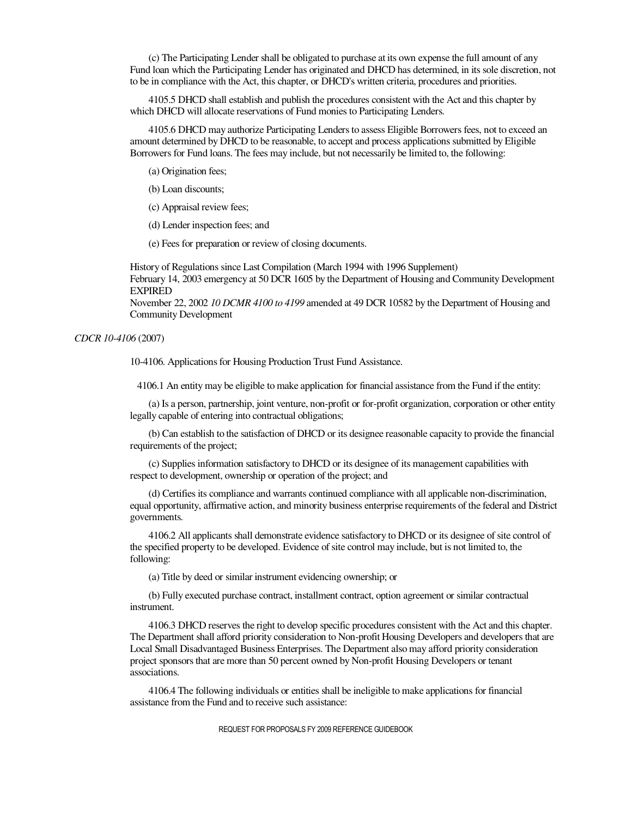(c) The Participating Lender shall be obligated to purchase at its own expense the full amount of any Fund loan which the Participating Lender has originated and DHCD has determined, in its sole discretion, not to be in compliance with the Act, this chapter, or DHCD's written criteria, procedures and priorities.

4105.5 DHCD shall establish and publish the procedures consistent with the Act and this chapter by which DHCD will allocate reservations of Fund monies to Participating Lenders.

4105.6 DHCD may authorize Participating Lenders to assess Eligible Borrowers fees, not to exceed an amount determined by DHCD to be reasonable, to accept and process applications submitted by Eligible Borrowers for Fund loans. The fees may include, but not necessarily be limited to, the following:

(a) Origination fees;

(b) Loan discounts;

(c) Appraisal review fees;

(d) Lender inspection fees; and

(e) Fees for preparation or review of closing documents.

History of Regulations since Last Compilation (March 1994 with 1996 Supplement) February 14, 2003 emergency at 50 DCR 1605 by the Department of Housing and Community Development EXPIRED

November 22, 2002 *10 DCMR 4100 to 4199* amended at 49 DCR 10582 by the Department of Housing and Community Development

#### *CDCR 10-4106* (2007)

10-4106. Applications for Housing Production Trust Fund Assistance.

4106.1 An entity may be eligible to make application for financial assistance from the Fund if the entity:

(a) Is a person, partnership, joint venture, non-profit or for-profit organization, corporation or other entity legally capable of entering into contractual obligations;

(b) Can establish to the satisfaction of DHCD or its designee reasonable capacity to provide the financial requirements of the project;

(c) Supplies information satisfactory to DHCD or its designee of its management capabilities with respect to development, ownership or operation of the project; and

(d) Certifies its compliance and warrants continued compliance with all applicable non-discrimination, equal opportunity, affirmative action, and minority business enterprise requirements of the federal and District governments.

4106.2 All applicants shall demonstrate evidence satisfactory to DHCD or its designee of site control of the specified property to be developed. Evidence of site control may include, but is not limited to, the following:

(a) Title by deed or similar instrument evidencing ownership; or

(b) Fully executed purchase contract, installment contract, option agreement or similar contractual instrument.

4106.3 DHCD reserves the right to develop specific procedures consistent with the Act and this chapter. The Department shall afford priority consideration to Non-profit Housing Developers and developers that are Local Small Disadvantaged Business Enterprises. The Department also may afford priority consideration project sponsors that are more than 50 percent owned by Non-profit Housing Developers or tenant associations.

4106.4 The following individuals or entities shall be ineligible to make applications for financial assistance from the Fund and to receive such assistance: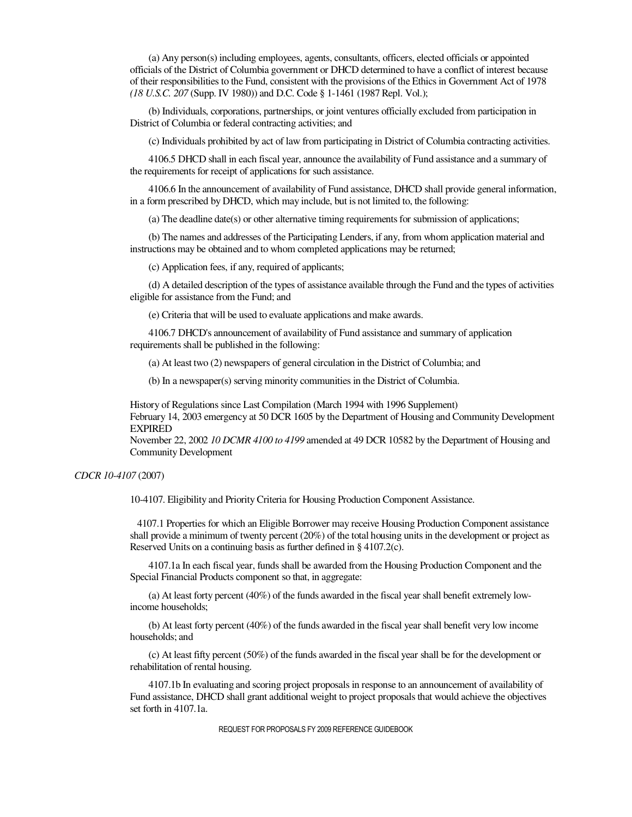(a) Any person(s) including employees, agents, consultants, officers, elected officials or appointed officials of the District of Columbia government or DHCD determined to have a conflict of interest because of their responsibilities to the Fund, consistent with the provisions of the Ethics in Government Act of 1978 *(18 U.S.C. 207* (Supp. IV 1980)) and D.C. Code § 1-1461 (1987 Repl. Vol.);

(b) Individuals, corporations, partnerships, or joint ventures officially excluded from participation in District of Columbia or federal contracting activities; and

(c) Individuals prohibited by act of law from participating in District of Columbia contracting activities.

4106.5 DHCD shall in each fiscal year, announce the availability of Fund assistance and a summary of the requirements for receipt of applications for such assistance.

4106.6 In the announcement of availability of Fund assistance, DHCD shall provide general information, in a form prescribed by DHCD, which may include, but is not limited to, the following:

(a) The deadline date(s) or other alternative timing requirements for submission of applications;

(b) The names and addresses of the Participating Lenders, if any, from whom application material and instructions may be obtained and to whom completed applications may be returned;

(c) Application fees, if any, required of applicants;

(d) A detailed description of the types of assistance available through the Fund and the types of activities eligible for assistance from the Fund; and

(e) Criteria that will be used to evaluate applications and make awards.

4106.7 DHCD's announcement of availability of Fund assistance and summary of application requirements shall be published in the following:

(a) At least two (2) newspapers of general circulation in the District of Columbia; and

(b) In a newspaper(s) serving minority communities in the District of Columbia.

History of Regulations since Last Compilation (March 1994 with 1996 Supplement) February 14, 2003 emergency at 50 DCR 1605 by the Department of Housing and Community Development EXPIRED

November 22, 2002 *10 DCMR 4100 to 4199* amended at 49 DCR 10582 by the Department of Housing and Community Development

#### *CDCR 10-4107* (2007)

10-4107. Eligibility and Priority Criteria for Housing Production Component Assistance.

 4107.1 Properties for which an Eligible Borrower may receive Housing Production Component assistance shall provide a minimum of twenty percent (20%) of the total housing units in the development or project as Reserved Units on a continuing basis as further defined in § 4107.2(c).

4107.1a In each fiscal year, funds shall be awarded from the Housing Production Component and the Special Financial Products component so that, in aggregate:

(a) At least forty percent (40%) of the funds awarded in the fiscal year shall benefit extremely lowincome households;

(b) At least forty percent (40%) of the funds awarded in the fiscal year shall benefit very low income households; and

(c) At least fifty percent (50%) of the funds awarded in the fiscal year shall be for the development or rehabilitation of rental housing.

4107.1b In evaluating and scoring project proposals in response to an announcement of availability of Fund assistance, DHCD shall grant additional weight to project proposals that would achieve the objectives set forth in 4107.1a.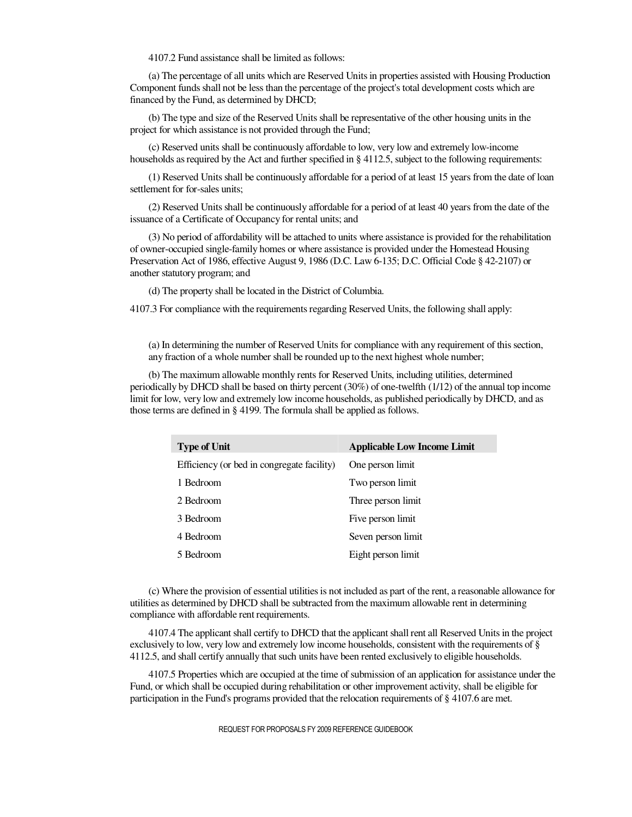4107.2 Fund assistance shall be limited as follows:

(a) The percentage of all units which are Reserved Units in properties assisted with Housing Production Component funds shall not be less than the percentage of the project's total development costs which are financed by the Fund, as determined by DHCD;

(b) The type and size of the Reserved Units shall be representative of the other housing units in the project for which assistance is not provided through the Fund;

(c) Reserved units shall be continuously affordable to low, very low and extremely low-income households as required by the Act and further specified in § 4112.5, subject to the following requirements:

(1) Reserved Units shall be continuously affordable for a period of at least 15 years from the date of loan settlement for for-sales units;

(2) Reserved Units shall be continuously affordable for a period of at least 40 years from the date of the issuance of a Certificate of Occupancy for rental units; and

(3) No period of affordability will be attached to units where assistance is provided for the rehabilitation of owner-occupied single-family homes or where assistance is provided under the Homestead Housing Preservation Act of 1986, effective August 9, 1986 (D.C. Law 6-135; D.C. Official Code § 42-2107) or another statutory program; and

(d) The property shall be located in the District of Columbia.

4107.3 For compliance with the requirements regarding Reserved Units, the following shall apply:

(a) In determining the number of Reserved Units for compliance with any requirement of this section, any fraction of a whole number shall be rounded up to the next highest whole number;

(b) The maximum allowable monthly rents for Reserved Units, including utilities, determined periodically by DHCD shall be based on thirty percent (30%) of one-twelfth (1/12) of the annual top income limit for low, very low and extremely low income households, as published periodically by DHCD, and as those terms are defined in § 4199. The formula shall be applied as follows.

| <b>Type of Unit</b>                        | <b>Applicable Low Income Limit</b> |
|--------------------------------------------|------------------------------------|
| Efficiency (or bed in congregate facility) | One person limit                   |
| 1 Bedroom                                  | Two person limit                   |
| 2 Bedroom                                  | Three person limit                 |
| 3 Bedroom                                  | Five person limit                  |
| 4 Bedroom                                  | Seven person limit                 |
| 5 Bedroom                                  | Eight person limit                 |

(c) Where the provision of essential utilities is not included as part of the rent, a reasonable allowance for utilities as determined by DHCD shall be subtracted from the maximum allowable rent in determining compliance with affordable rent requirements.

4107.4 The applicant shall certify to DHCD that the applicant shall rent all Reserved Units in the project exclusively to low, very low and extremely low income households, consistent with the requirements of § 4112.5, and shall certify annually that such units have been rented exclusively to eligible households.

4107.5 Properties which are occupied at the time of submission of an application for assistance under the Fund, or which shall be occupied during rehabilitation or other improvement activity, shall be eligible for participation in the Fund's programs provided that the relocation requirements of § 4107.6 are met.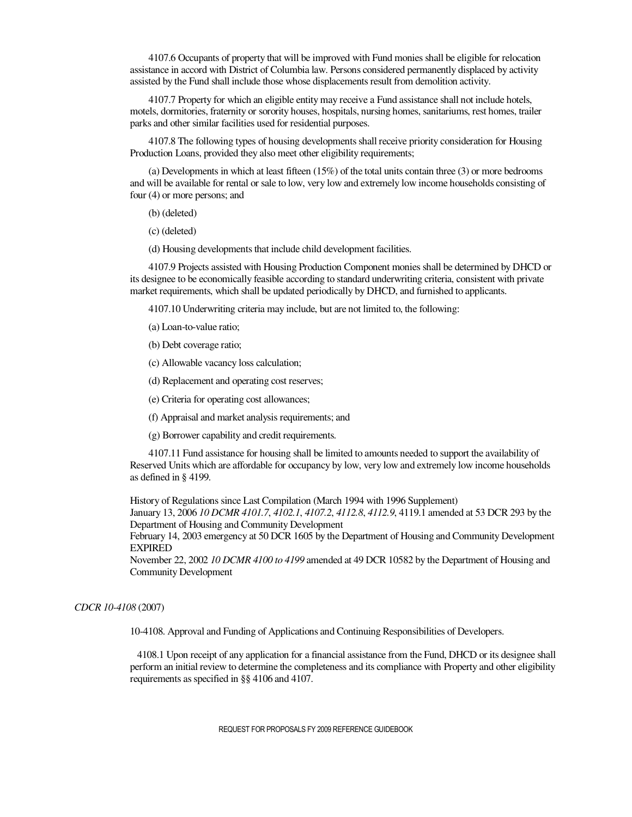4107.6 Occupants of property that will be improved with Fund monies shall be eligible for relocation assistance in accord with District of Columbia law. Persons considered permanently displaced by activity assisted by the Fund shall include those whose displacements result from demolition activity.

4107.7 Property for which an eligible entity may receive a Fund assistance shall not include hotels, motels, dormitories, fraternity or sorority houses, hospitals, nursing homes, sanitariums, rest homes, trailer parks and other similar facilities used for residential purposes.

4107.8 The following types of housing developments shall receive priority consideration for Housing Production Loans, provided they also meet other eligibility requirements;

(a) Developments in which at least fifteen (15%) of the total units contain three (3) or more bedrooms and will be available for rental or sale to low, very low and extremely low income households consisting of four (4) or more persons; and

(b) (deleted)

(c) (deleted)

(d) Housing developments that include child development facilities.

4107.9 Projects assisted with Housing Production Component monies shall be determined by DHCD or its designee to be economically feasible according to standard underwriting criteria, consistent with private market requirements, which shall be updated periodically by DHCD, and furnished to applicants.

4107.10 Underwriting criteria may include, but are not limited to, the following:

(a) Loan-to-value ratio;

(b) Debt coverage ratio;

(c) Allowable vacancy loss calculation;

(d) Replacement and operating cost reserves;

(e) Criteria for operating cost allowances;

(f) Appraisal and market analysis requirements; and

(g) Borrower capability and credit requirements.

4107.11 Fund assistance for housing shall be limited to amounts needed to support the availability of Reserved Units which are affordable for occupancy by low, very low and extremely low income households as defined in § 4199.

History of Regulations since Last Compilation (March 1994 with 1996 Supplement)

January 13, 2006 *10 DCMR 4101.7*, *4102.1*, *4107.2*, *4112.8*, *4112.9*, 4119.1 amended at 53 DCR 293 by the Department of Housing and Community Development

February 14, 2003 emergency at 50 DCR 1605 by the Department of Housing and Community Development EXPIRED

November 22, 2002 *10 DCMR 4100 to 4199* amended at 49 DCR 10582 by the Department of Housing and Community Development

#### *CDCR 10-4108* (2007)

10-4108. Approval and Funding of Applications and Continuing Responsibilities of Developers.

 4108.1 Upon receipt of any application for a financial assistance from the Fund, DHCD or its designee shall perform an initial review to determine the completeness and its compliance with Property and other eligibility requirements as specified in §§ 4106 and 4107.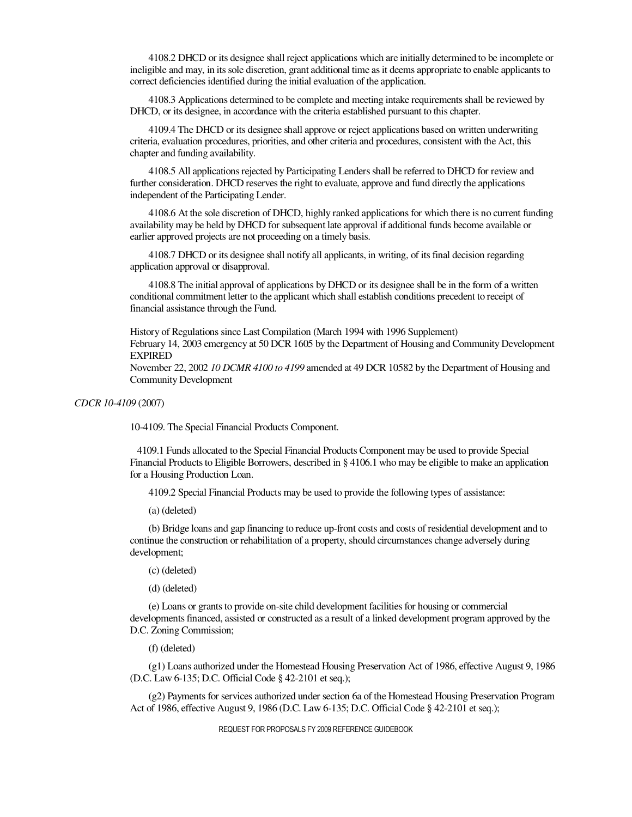4108.2 DHCD or its designee shall reject applications which are initially determined to be incomplete or ineligible and may, in its sole discretion, grant additional time as it deems appropriate to enable applicants to correct deficiencies identified during the initial evaluation of the application.

4108.3 Applications determined to be complete and meeting intake requirements shall be reviewed by DHCD, or its designee, in accordance with the criteria established pursuant to this chapter.

4109.4 The DHCD or its designee shall approve or reject applications based on written underwriting criteria, evaluation procedures, priorities, and other criteria and procedures, consistent with the Act, this chapter and funding availability.

4108.5 All applications rejected by Participating Lenders shall be referred to DHCD for review and further consideration. DHCD reserves the right to evaluate, approve and fund directly the applications independent of the Participating Lender.

4108.6 At the sole discretion of DHCD, highly ranked applications for which there is no current funding availability may be held by DHCD for subsequent late approval if additional funds become available or earlier approved projects are not proceeding on a timely basis.

4108.7 DHCD or its designee shall notify all applicants, in writing, of its final decision regarding application approval or disapproval.

4108.8 The initial approval of applications by DHCD or its designee shall be in the form of a written conditional commitment letter to the applicant which shall establish conditions precedent to receipt of financial assistance through the Fund.

History of Regulations since Last Compilation (March 1994 with 1996 Supplement) February 14, 2003 emergency at 50 DCR 1605 by the Department of Housing and Community Development EXPIRED

November 22, 2002 *10 DCMR 4100 to 4199* amended at 49 DCR 10582 by the Department of Housing and Community Development

*CDCR 10-4109* (2007)

10-4109. The Special Financial Products Component.

 4109.1 Funds allocated to the Special Financial Products Component may be used to provide Special Financial Products to Eligible Borrowers, described in § 4106.1 who may be eligible to make an application for a Housing Production Loan.

4109.2 Special Financial Products may be used to provide the following types of assistance:

(a) (deleted)

(b) Bridge loans and gap financing to reduce up-front costs and costs of residential development and to continue the construction or rehabilitation of a property, should circumstances change adversely during development;

(c) (deleted)

(d) (deleted)

(e) Loans or grants to provide on-site child development facilities for housing or commercial developments financed, assisted or constructed as a result of a linked development program approved by the D.C. Zoning Commission;

(f) (deleted)

(g1) Loans authorized under the Homestead Housing Preservation Act of 1986, effective August 9, 1986 (D.C. Law 6-135; D.C. Official Code § 42-2101 et seq.);

(g2) Payments for services authorized under section 6a of the Homestead Housing Preservation Program Act of 1986, effective August 9, 1986 (D.C. Law 6-135; D.C. Official Code § 42-2101 et seq.);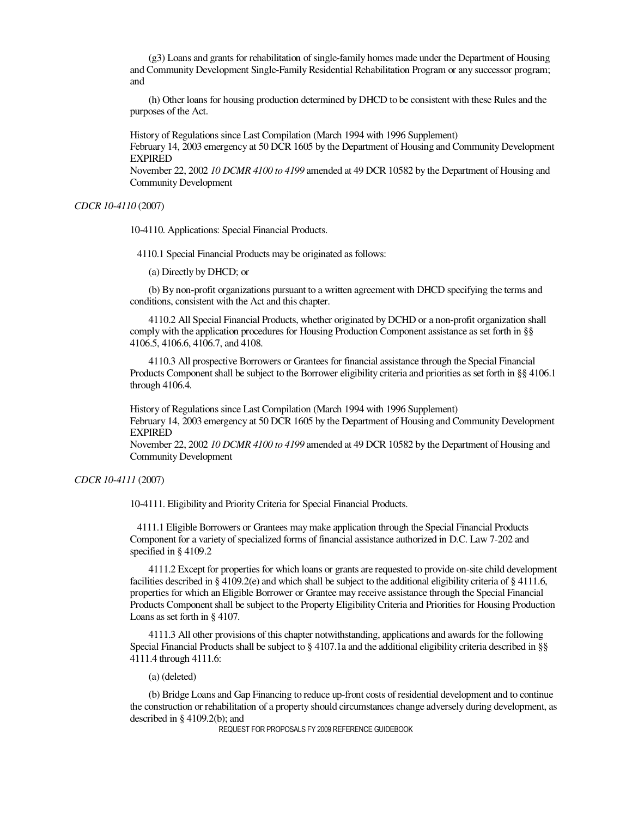(g3) Loans and grants for rehabilitation of single-family homes made under the Department of Housing and Community Development Single-Family Residential Rehabilitation Program or any successor program; and

(h) Other loans for housing production determined by DHCD to be consistent with these Rules and the purposes of the Act.

History of Regulations since Last Compilation (March 1994 with 1996 Supplement)

February 14, 2003 emergency at 50 DCR 1605 by the Department of Housing and Community Development EXPIRED

November 22, 2002 *10 DCMR 4100 to 4199* amended at 49 DCR 10582 by the Department of Housing and Community Development

*CDCR 10-4110* (2007)

10-4110. Applications: Special Financial Products.

4110.1 Special Financial Products may be originated as follows:

(a) Directly by DHCD; or

(b) By non-profit organizations pursuant to a written agreement with DHCD specifying the terms and conditions, consistent with the Act and this chapter.

4110.2 All Special Financial Products, whether originated by DCHD or a non-profit organization shall comply with the application procedures for Housing Production Component assistance as set forth in §§ 4106.5, 4106.6, 4106.7, and 4108.

4110.3 All prospective Borrowers or Grantees for financial assistance through the Special Financial Products Component shall be subject to the Borrower eligibility criteria and priorities as set forth in §§ 4106.1 through 4106.4.

History of Regulations since Last Compilation (March 1994 with 1996 Supplement) February 14, 2003 emergency at 50 DCR 1605 by the Department of Housing and Community Development EXPIRED

November 22, 2002 *10 DCMR 4100 to 4199* amended at 49 DCR 10582 by the Department of Housing and Community Development

*CDCR 10-4111* (2007)

10-4111. Eligibility and Priority Criteria for Special Financial Products.

 4111.1 Eligible Borrowers or Grantees may make application through the Special Financial Products Component for a variety of specialized forms of financial assistance authorized in D.C. Law 7-202 and specified in § 4109.2

4111.2 Except for properties for which loans or grants are requested to provide on-site child development facilities described in § 4109.2(e) and which shall be subject to the additional eligibility criteria of § 4111.6, properties for which an Eligible Borrower or Grantee may receive assistance through the Special Financial Products Component shall be subject to the Property Eligibility Criteria and Priorities for Housing Production Loans as set forth in § 4107.

4111.3 All other provisions of this chapter notwithstanding, applications and awards for the following Special Financial Products shall be subject to § 4107.1a and the additional eligibility criteria described in §§ 4111.4 through 4111.6:

(a) (deleted)

(b) Bridge Loans and Gap Financing to reduce up-front costs of residential development and to continue the construction or rehabilitation of a property should circumstances change adversely during development, as described in § 4109.2(b); and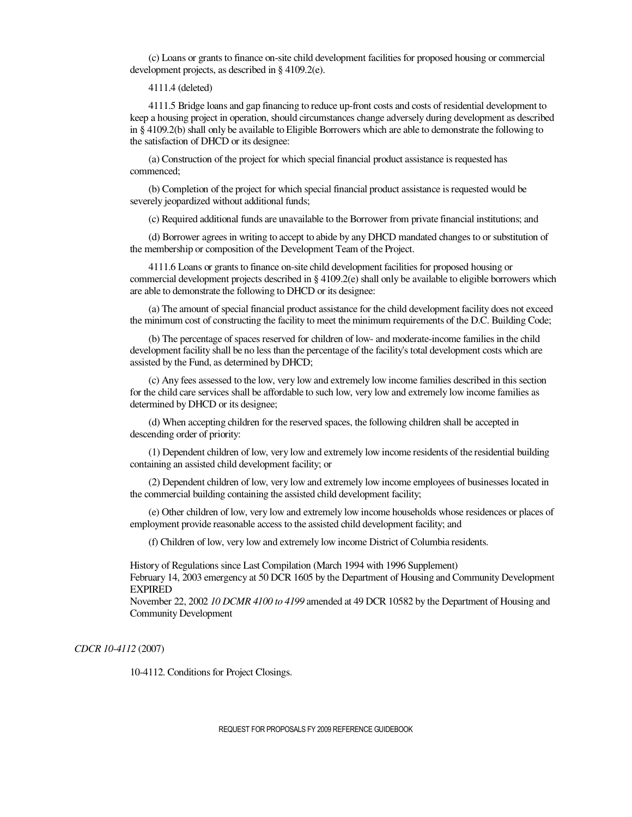(c) Loans or grants to finance on-site child development facilities for proposed housing or commercial development projects, as described in § 4109.2(e).

4111.4 (deleted)

4111.5 Bridge loans and gap financing to reduce up-front costs and costs of residential development to keep a housing project in operation, should circumstances change adversely during development as described in § 4109.2(b) shall only be available to Eligible Borrowers which are able to demonstrate the following to the satisfaction of DHCD or its designee:

(a) Construction of the project for which special financial product assistance is requested has commenced;

(b) Completion of the project for which special financial product assistance is requested would be severely jeopardized without additional funds;

(c) Required additional funds are unavailable to the Borrower from private financial institutions; and

(d) Borrower agrees in writing to accept to abide by any DHCD mandated changes to or substitution of the membership or composition of the Development Team of the Project.

4111.6 Loans or grants to finance on-site child development facilities for proposed housing or commercial development projects described in § 4109.2(e) shall only be available to eligible borrowers which are able to demonstrate the following to DHCD or its designee:

(a) The amount of special financial product assistance for the child development facility does not exceed the minimum cost of constructing the facility to meet the minimum requirements of the D.C. Building Code;

(b) The percentage of spaces reserved for children of low- and moderate-income families in the child development facility shall be no less than the percentage of the facility's total development costs which are assisted by the Fund, as determined by DHCD;

(c) Any fees assessed to the low, very low and extremely low income families described in this section for the child care services shall be affordable to such low, very low and extremely low income families as determined by DHCD or its designee;

(d) When accepting children for the reserved spaces, the following children shall be accepted in descending order of priority:

(1) Dependent children of low, very low and extremely low income residents of the residential building containing an assisted child development facility; or

(2) Dependent children of low, very low and extremely low income employees of businesses located in the commercial building containing the assisted child development facility;

(e) Other children of low, very low and extremely low income households whose residences or places of employment provide reasonable access to the assisted child development facility; and

(f) Children of low, very low and extremely low income District of Columbia residents.

History of Regulations since Last Compilation (March 1994 with 1996 Supplement)

February 14, 2003 emergency at 50 DCR 1605 by the Department of Housing and Community Development EXPIRED

November 22, 2002 *10 DCMR 4100 to 4199* amended at 49 DCR 10582 by the Department of Housing and Community Development

*CDCR 10-4112* (2007)

10-4112. Conditions for Project Closings.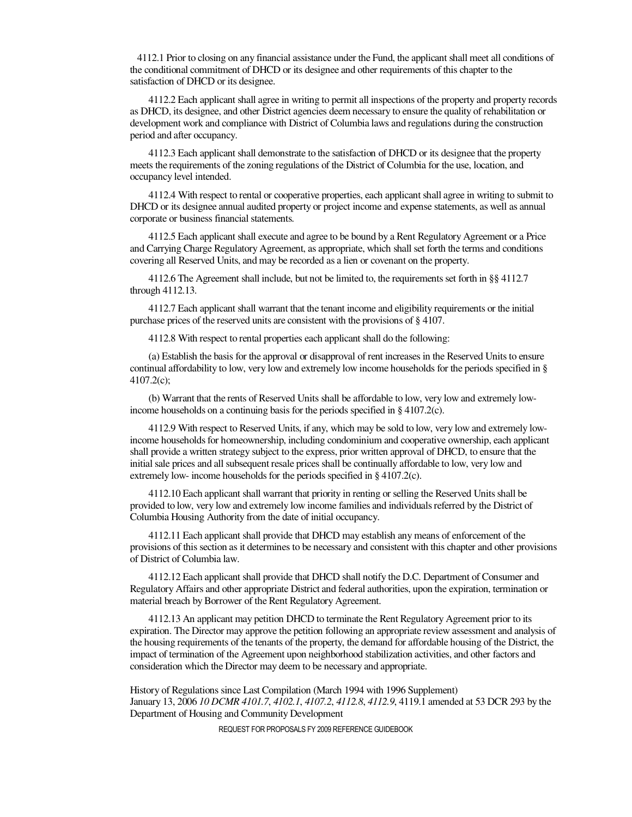4112.1 Prior to closing on any financial assistance under the Fund, the applicant shall meet all conditions of the conditional commitment of DHCD or its designee and other requirements of this chapter to the satisfaction of DHCD or its designee.

4112.2 Each applicant shall agree in writing to permit all inspections of the property and property records as DHCD, its designee, and other District agencies deem necessary to ensure the quality of rehabilitation or development work and compliance with District of Columbia laws and regulations during the construction period and after occupancy.

4112.3 Each applicant shall demonstrate to the satisfaction of DHCD or its designee that the property meets the requirements of the zoning regulations of the District of Columbia for the use, location, and occupancy level intended.

4112.4 With respect to rental or cooperative properties, each applicant shall agree in writing to submit to DHCD or its designee annual audited property or project income and expense statements, as well as annual corporate or business financial statements.

4112.5 Each applicant shall execute and agree to be bound by a Rent Regulatory Agreement or a Price and Carrying Charge Regulatory Agreement, as appropriate, which shall set forth the terms and conditions covering all Reserved Units, and may be recorded as a lien or covenant on the property.

4112.6 The Agreement shall include, but not be limited to, the requirements set forth in §§ 4112.7 through 4112.13.

4112.7 Each applicant shall warrant that the tenant income and eligibility requirements or the initial purchase prices of the reserved units are consistent with the provisions of § 4107.

4112.8 With respect to rental properties each applicant shall do the following:

(a) Establish the basis for the approval or disapproval of rent increases in the Reserved Units to ensure continual affordability to low, very low and extremely low income households for the periods specified in § 4107.2(c);

(b) Warrant that the rents of Reserved Units shall be affordable to low, very low and extremely lowincome households on a continuing basis for the periods specified in § 4107.2(c).

4112.9 With respect to Reserved Units, if any, which may be sold to low, very low and extremely lowincome households for homeownership, including condominium and cooperative ownership, each applicant shall provide a written strategy subject to the express, prior written approval of DHCD, to ensure that the initial sale prices and all subsequent resale prices shall be continually affordable to low, very low and extremely low- income households for the periods specified in § 4107.2(c).

4112.10 Each applicant shall warrant that priority in renting or selling the Reserved Units shall be provided to low, very low and extremely low income families and individuals referred by the District of Columbia Housing Authority from the date of initial occupancy.

4112.11 Each applicant shall provide that DHCD may establish any means of enforcement of the provisions of this section as it determines to be necessary and consistent with this chapter and other provisions of District of Columbia law.

4112.12 Each applicant shall provide that DHCD shall notify the D.C. Department of Consumer and Regulatory Affairs and other appropriate District and federal authorities, upon the expiration, termination or material breach by Borrower of the Rent Regulatory Agreement.

4112.13 An applicant may petition DHCD to terminate the Rent Regulatory Agreement prior to its expiration. The Director may approve the petition following an appropriate review assessment and analysis of the housing requirements of the tenants of the property, the demand for affordable housing of the District, the impact of termination of the Agreement upon neighborhood stabilization activities, and other factors and consideration which the Director may deem to be necessary and appropriate.

History of Regulations since Last Compilation (March 1994 with 1996 Supplement) January 13, 2006 *10 DCMR 4101.7*, *4102.1*, *4107.2*, *4112.8*, *4112.9*, 4119.1 amended at 53 DCR 293 by the Department of Housing and Community Development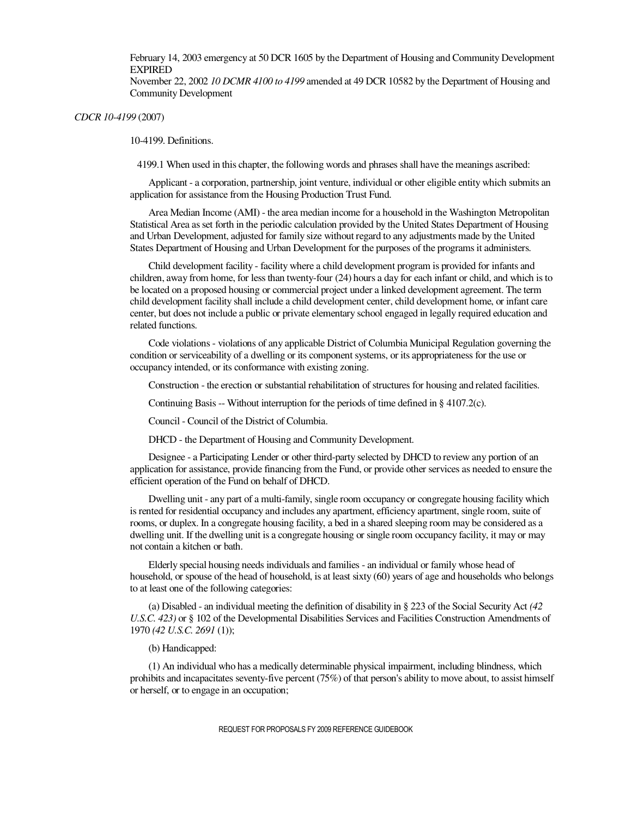February 14, 2003 emergency at 50 DCR 1605 by the Department of Housing and Community Development **EXPIRED** 

November 22, 2002 *10 DCMR 4100 to 4199* amended at 49 DCR 10582 by the Department of Housing and Community Development

*CDCR 10-4199* (2007)

10-4199. Definitions.

4199.1 When used in this chapter, the following words and phrases shall have the meanings ascribed:

Applicant - a corporation, partnership, joint venture, individual or other eligible entity which submits an application for assistance from the Housing Production Trust Fund.

Area Median Income (AMI) - the area median income for a household in the Washington Metropolitan Statistical Area as set forth in the periodic calculation provided by the United States Department of Housing and Urban Development, adjusted for family size without regard to any adjustments made by the United States Department of Housing and Urban Development for the purposes of the programs it administers.

Child development facility - facility where a child development program is provided for infants and children, away from home, for less than twenty-four (24) hours a day for each infant or child, and which is to be located on a proposed housing or commercial project under a linked development agreement. The term child development facility shall include a child development center, child development home, or infant care center, but does not include a public or private elementary school engaged in legally required education and related functions.

Code violations - violations of any applicable District of Columbia Municipal Regulation governing the condition or serviceability of a dwelling or its component systems, or its appropriateness for the use or occupancy intended, or its conformance with existing zoning.

Construction - the erection or substantial rehabilitation of structures for housing and related facilities.

Continuing Basis -- Without interruption for the periods of time defined in § 4107.2(c).

Council - Council of the District of Columbia.

DHCD - the Department of Housing and Community Development.

Designee - a Participating Lender or other third-party selected by DHCD to review any portion of an application for assistance, provide financing from the Fund, or provide other services as needed to ensure the efficient operation of the Fund on behalf of DHCD.

Dwelling unit - any part of a multi-family, single room occupancy or congregate housing facility which is rented for residential occupancy and includes any apartment, efficiency apartment, single room, suite of rooms, or duplex. In a congregate housing facility, a bed in a shared sleeping room may be considered as a dwelling unit. If the dwelling unit is a congregate housing or single room occupancy facility, it may or may not contain a kitchen or bath.

Elderly special housing needs individuals and families - an individual or family whose head of household, or spouse of the head of household, is at least sixty (60) years of age and households who belongs to at least one of the following categories:

(a) Disabled - an individual meeting the definition of disability in § 223 of the Social Security Act *(42 U.S.C. 423)* or § 102 of the Developmental Disabilities Services and Facilities Construction Amendments of 1970 *(42 U.S.C. 2691* (1));

#### (b) Handicapped:

(1) An individual who has a medically determinable physical impairment, including blindness, which prohibits and incapacitates seventy-five percent (75%) of that person's ability to move about, to assist himself or herself, or to engage in an occupation;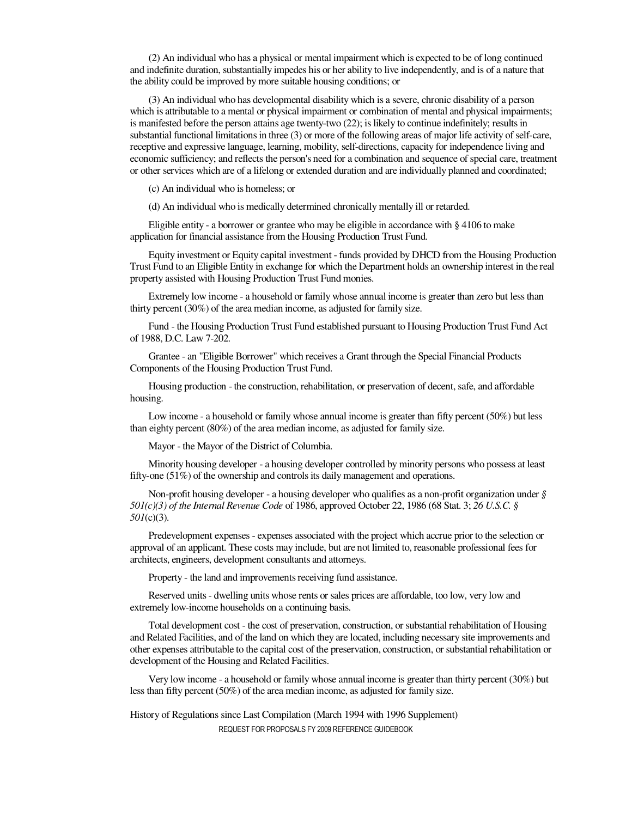(2) An individual who has a physical or mental impairment which is expected to be of long continued and indefinite duration, substantially impedes his or her ability to live independently, and is of a nature that the ability could be improved by more suitable housing conditions; or

(3) An individual who has developmental disability which is a severe, chronic disability of a person which is attributable to a mental or physical impairment or combination of mental and physical impairments; is manifested before the person attains age twenty-two (22); is likely to continue indefinitely; results in substantial functional limitations in three (3) or more of the following areas of major life activity of self-care, receptive and expressive language, learning, mobility, self-directions, capacity for independence living and economic sufficiency; and reflects the person's need for a combination and sequence of special care, treatment or other services which are of a lifelong or extended duration and are individually planned and coordinated;

(c) An individual who is homeless; or

(d) An individual who is medically determined chronically mentally ill or retarded.

Eligible entity - a borrower or grantee who may be eligible in accordance with § 4106 to make application for financial assistance from the Housing Production Trust Fund.

Equity investment or Equity capital investment - funds provided by DHCD from the Housing Production Trust Fund to an Eligible Entity in exchange for which the Department holds an ownership interest in the real property assisted with Housing Production Trust Fund monies.

Extremely low income - a household or family whose annual income is greater than zero but less than thirty percent (30%) of the area median income, as adjusted for family size.

Fund - the Housing Production Trust Fund established pursuant to Housing Production Trust Fund Act of 1988, D.C. Law 7-202.

Grantee - an "Eligible Borrower" which receives a Grant through the Special Financial Products Components of the Housing Production Trust Fund.

Housing production - the construction, rehabilitation, or preservation of decent, safe, and affordable housing.

Low income - a household or family whose annual income is greater than fifty percent (50%) but less than eighty percent (80%) of the area median income, as adjusted for family size.

Mayor - the Mayor of the District of Columbia.

Minority housing developer - a housing developer controlled by minority persons who possess at least fifty-one (51%) of the ownership and controls its daily management and operations.

Non-profit housing developer - a housing developer who qualifies as a non-profit organization under *§ 501(c)(3) of the Internal Revenue Code* of 1986, approved October 22, 1986 (68 Stat. 3; *26 U.S.C. § 501*(c)(3).

Predevelopment expenses - expenses associated with the project which accrue prior to the selection or approval of an applicant. These costs may include, but are not limited to, reasonable professional fees for architects, engineers, development consultants and attorneys.

Property - the land and improvements receiving fund assistance.

Reserved units - dwelling units whose rents or sales prices are affordable, too low, very low and extremely low-income households on a continuing basis.

Total development cost - the cost of preservation, construction, or substantial rehabilitation of Housing and Related Facilities, and of the land on which they are located, including necessary site improvements and other expenses attributable to the capital cost of the preservation, construction, or substantial rehabilitation or development of the Housing and Related Facilities.

Very low income - a household or family whose annual income is greater than thirty percent (30%) but less than fifty percent (50%) of the area median income, as adjusted for family size.

REQUEST FOR PROPOSALS FY 2009 REFERENCE GUIDEBOOK History of Regulations since Last Compilation (March 1994 with 1996 Supplement)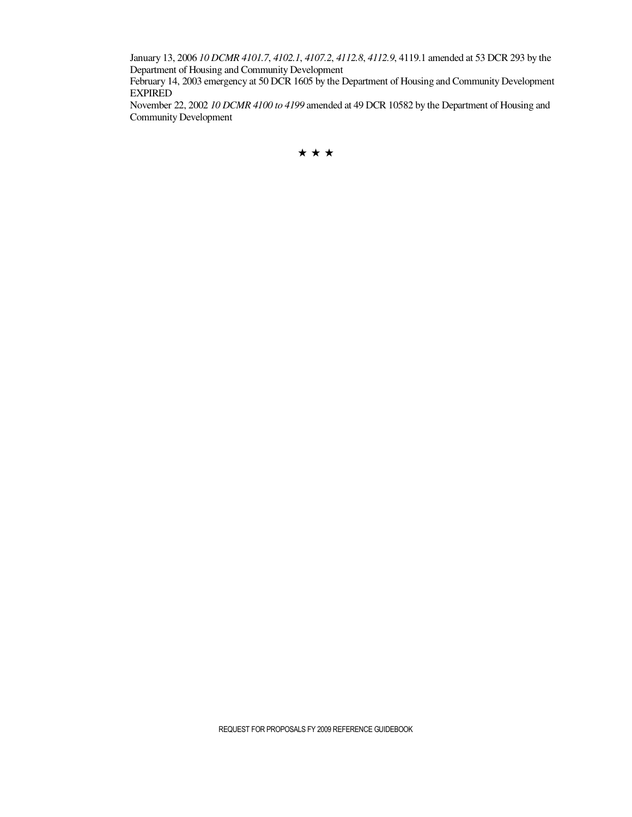January 13, 2006 *10 DCMR 4101.7*, *4102.1*, *4107.2*, *4112.8*, *4112.9*, 4119.1 amended at 53 DCR 293 by the Department of Housing and Community Development

February 14, 2003 emergency at 50 DCR 1605 by the Department of Housing and Community Development EXPIRED

November 22, 2002 *10 DCMR 4100 to 4199* amended at 49 DCR 10582 by the Department of Housing and Community Development

★★★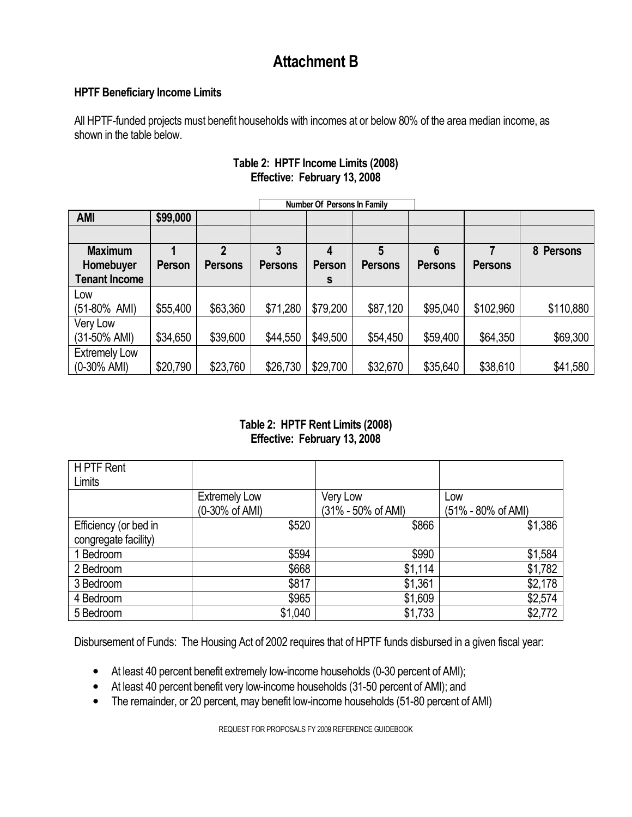### **Attachment B**

#### **HPTF Beneficiary Income Limits**

All HPTF-funded projects must benefit households with incomes at or below 80% of the area median income, as shown in the table below.

|                      |          |                |                | Number Of Persons In Family |                |                |                |           |
|----------------------|----------|----------------|----------------|-----------------------------|----------------|----------------|----------------|-----------|
| <b>AMI</b>           | \$99,000 |                |                |                             |                |                |                |           |
|                      |          |                |                |                             |                |                |                |           |
| <b>Maximum</b>       |          | 2              | 3              | 4                           | 5              | 6              |                | 8 Persons |
| Homebuyer            | Person   | <b>Persons</b> | <b>Persons</b> | <b>Person</b>               | <b>Persons</b> | <b>Persons</b> | <b>Persons</b> |           |
| <b>Tenant Income</b> |          |                |                | s                           |                |                |                |           |
| Low                  |          |                |                |                             |                |                |                |           |
| (51-80% AMI)         | \$55,400 | \$63,360       | \$71,280       | \$79,200                    | \$87,120       | \$95,040       | \$102,960      | \$110,880 |
| Very Low             |          |                |                |                             |                |                |                |           |
| (31-50% AMI)         | \$34,650 | \$39,600       | \$44,550       | \$49,500                    | \$54,450       | \$59,400       | \$64,350       | \$69,300  |
| <b>Extremely Low</b> |          |                |                |                             |                |                |                |           |
| $(0-30\%$ AMI)       | \$20,790 | \$23,760       | \$26,730       | \$29,700                    | \$32,670       | \$35,640       | \$38,610       | \$41,580  |

#### **Table 2: HPTF Income Limits (2008) Effective: February 13, 2008**

#### **Table 2: HPTF Rent Limits (2008) Effective: February 13, 2008**

| H PTF Rent            |                      |                    |                    |
|-----------------------|----------------------|--------------------|--------------------|
| Limits                |                      |                    |                    |
|                       | <b>Extremely Low</b> | Very Low           | Low                |
|                       | (0-30% of AMI)       | (31% - 50% of AMI) | (51% - 80% of AMI) |
| Efficiency (or bed in | \$520                | \$866              | \$1,386            |
| congregate facility)  |                      |                    |                    |
| 1 Bedroom             | \$594                | \$990              | \$1,584            |
| 2 Bedroom             | \$668                | \$1,114            | \$1,782            |
| 3 Bedroom             | \$817                | \$1,361            | \$2,178            |
| 4 Bedroom             | \$965                | \$1,609            | \$2,574            |
| 5 Bedroom             | \$1,040              | \$1,733            | \$2,772            |

Disbursement of Funds: The Housing Act of 2002 requires that of HPTF funds disbursed in a given fiscal year:

- At least 40 percent benefit extremely low-income households (0-30 percent of AMI);
- At least 40 percent benefit very low-income households (31-50 percent of AMI); and
- The remainder, or 20 percent, may benefit low-income households (51-80 percent of AMI)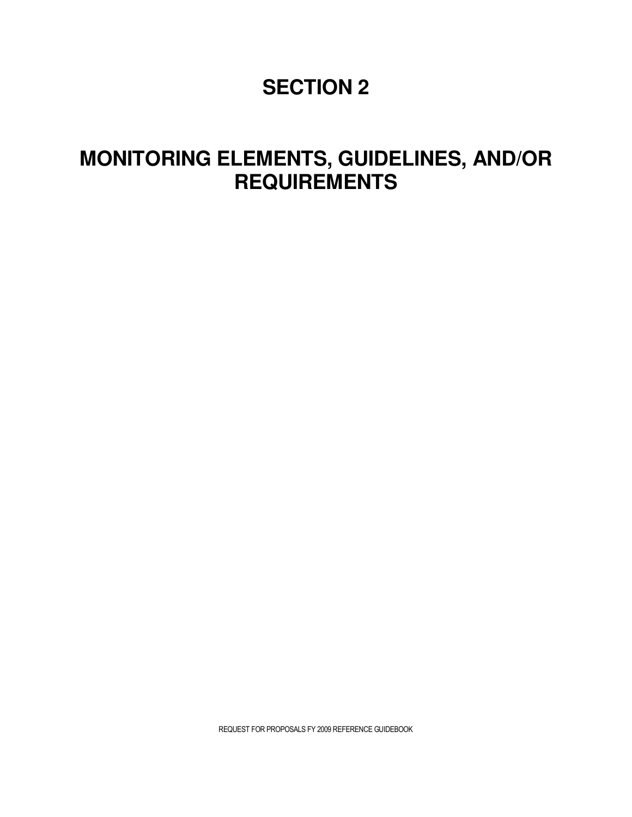### **SECTION 2**

### **MONITORING ELEMENTS, GUIDELINES, AND/OR REQUIREMENTS**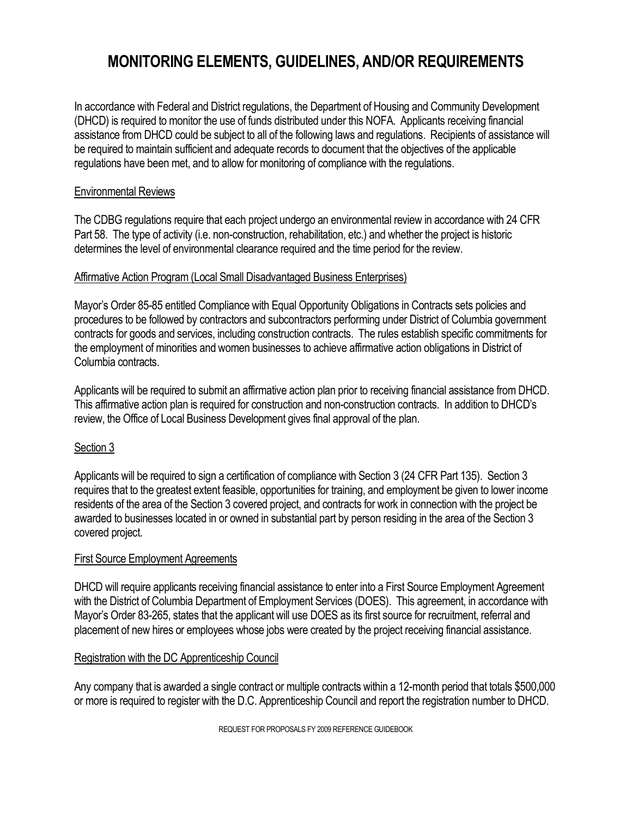### **MONITORING ELEMENTS, GUIDELINES, AND/OR REQUIREMENTS**

In accordance with Federal and District regulations, the Department of Housing and Community Development (DHCD) is required to monitor the use of funds distributed under this NOFA. Applicants receiving financial assistance from DHCD could be subject to all of the following laws and regulations. Recipients of assistance will be required to maintain sufficient and adequate records to document that the objectives of the applicable regulations have been met, and to allow for monitoring of compliance with the regulations.

#### Environmental Reviews

The CDBG regulations require that each project undergo an environmental review in accordance with 24 CFR Part 58. The type of activity (i.e. non-construction, rehabilitation, etc.) and whether the project is historic determines the level of environmental clearance required and the time period for the review.

#### Affirmative Action Program (Local Small Disadvantaged Business Enterprises)

Mayor's Order 85-85 entitled Compliance with Equal Opportunity Obligations in Contracts sets policies and procedures to be followed by contractors and subcontractors performing under District of Columbia government contracts for goods and services, including construction contracts. The rules establish specific commitments for the employment of minorities and women businesses to achieve affirmative action obligations in District of Columbia contracts.

Applicants will be required to submit an affirmative action plan prior to receiving financial assistance from DHCD. This affirmative action plan is required for construction and non-construction contracts. In addition to DHCD's review, the Office of Local Business Development gives final approval of the plan.

#### Section 3

Applicants will be required to sign a certification of compliance with Section 3 (24 CFR Part 135). Section 3 requires that to the greatest extent feasible, opportunities for training, and employment be given to lower income residents of the area of the Section 3 covered project, and contracts for work in connection with the project be awarded to businesses located in or owned in substantial part by person residing in the area of the Section 3 covered project.

#### First Source Employment Agreements

DHCD will require applicants receiving financial assistance to enter into a First Source Employment Agreement with the District of Columbia Department of Employment Services (DOES). This agreement, in accordance with Mayor's Order 83-265, states that the applicant will use DOES as its first source for recruitment, referral and placement of new hires or employees whose jobs were created by the project receiving financial assistance.

#### Registration with the DC Apprenticeship Council

Any company that is awarded a single contract or multiple contracts within a 12-month period that totals \$500,000 or more is required to register with the D.C. Apprenticeship Council and report the registration number to DHCD.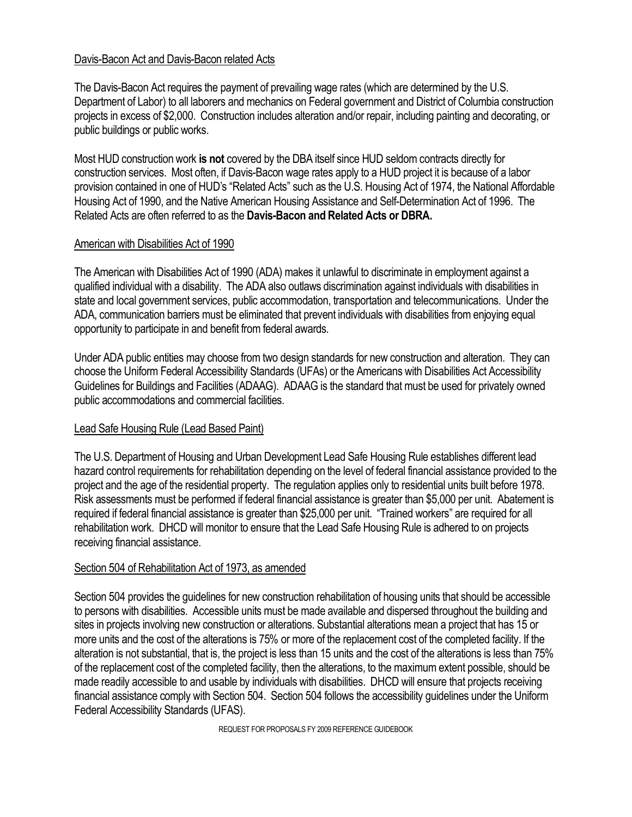#### Davis-Bacon Act and Davis-Bacon related Acts

The Davis-Bacon Act requires the payment of prevailing wage rates (which are determined by the U.S. Department of Labor) to all laborers and mechanics on Federal government and District of Columbia construction projects in excess of \$2,000. Construction includes alteration and/or repair, including painting and decorating, or public buildings or public works.

Most HUD construction work **is not** covered by the DBA itself since HUD seldom contracts directly for construction services. Most often, if Davis-Bacon wage rates apply to a HUD project it is because of a labor provision contained in one of HUD's "Related Acts" such as the U.S. Housing Act of 1974, the National Affordable Housing Act of 1990, and the Native American Housing Assistance and Self-Determination Act of 1996. The Related Acts are often referred to as the **Davis-Bacon and Related Acts or DBRA.**

#### American with Disabilities Act of 1990

The American with Disabilities Act of 1990 (ADA) makes it unlawful to discriminate in employment against a qualified individual with a disability. The ADA also outlaws discrimination against individuals with disabilities in state and local government services, public accommodation, transportation and telecommunications. Under the ADA, communication barriers must be eliminated that prevent individuals with disabilities from enjoying equal opportunity to participate in and benefit from federal awards.

Under ADA public entities may choose from two design standards for new construction and alteration. They can choose the Uniform Federal Accessibility Standards (UFAs) or the Americans with Disabilities Act Accessibility Guidelines for Buildings and Facilities (ADAAG). ADAAG is the standard that must be used for privately owned public accommodations and commercial facilities.

#### Lead Safe Housing Rule (Lead Based Paint)

The U.S. Department of Housing and Urban Development Lead Safe Housing Rule establishes different lead hazard control requirements for rehabilitation depending on the level of federal financial assistance provided to the project and the age of the residential property. The regulation applies only to residential units built before 1978. Risk assessments must be performed if federal financial assistance is greater than \$5,000 per unit. Abatement is required if federal financial assistance is greater than \$25,000 per unit. "Trained workers" are required for all rehabilitation work. DHCD will monitor to ensure that the Lead Safe Housing Rule is adhered to on projects receiving financial assistance.

#### Section 504 of Rehabilitation Act of 1973, as amended

Section 504 provides the guidelines for new construction rehabilitation of housing units that should be accessible to persons with disabilities. Accessible units must be made available and dispersed throughout the building and sites in projects involving new construction or alterations. Substantial alterations mean a project that has 15 or more units and the cost of the alterations is 75% or more of the replacement cost of the completed facility. If the alteration is not substantial, that is, the project is less than 15 units and the cost of the alterations is less than 75% of the replacement cost of the completed facility, then the alterations, to the maximum extent possible, should be made readily accessible to and usable by individuals with disabilities. DHCD will ensure that projects receiving financial assistance comply with Section 504. Section 504 follows the accessibility guidelines under the Uniform Federal Accessibility Standards (UFAS).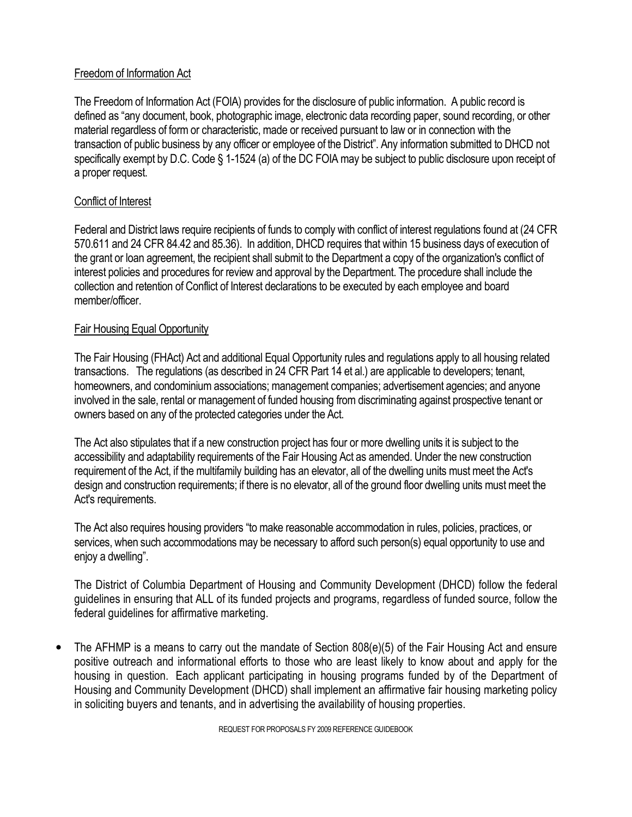#### Freedom of Information Act

The Freedom of Information Act (FOIA) provides for the disclosure of public information. A public record is defined as "any document, book, photographic image, electronic data recording paper, sound recording, or other material regardless of form or characteristic, made or received pursuant to law or in connection with the transaction of public business by any officer or employee of the District". Any information submitted to DHCD not specifically exempt by D.C. Code § 1-1524 (a) of the DC FOIA may be subject to public disclosure upon receipt of a proper request.

#### Conflict of Interest

Federal and District laws require recipients of funds to comply with conflict of interest regulations found at (24 CFR 570.611 and 24 CFR 84.42 and 85.36). In addition, DHCD requires that within 15 business days of execution of the grant or loan agreement, the recipient shall submit to the Department a copy of the organization's conflict of interest policies and procedures for review and approval by the Department. The procedure shall include the collection and retention of Conflict of Interest declarations to be executed by each employee and board member/officer.

#### Fair Housing Equal Opportunity

The Fair Housing (FHAct) Act and additional Equal Opportunity rules and regulations apply to all housing related transactions. The regulations (as described in 24 CFR Part 14 et al.) are applicable to developers; tenant, homeowners, and condominium associations; management companies; advertisement agencies; and anyone involved in the sale, rental or management of funded housing from discriminating against prospective tenant or owners based on any of the protected categories under the Act.

The Act also stipulates that if a new construction project has four or more dwelling units it is subject to the accessibility and adaptability requirements of the Fair Housing Act as amended. Under the new construction requirement of the Act, if the multifamily building has an elevator, all of the dwelling units must meet the Act's design and construction requirements; if there is no elevator, all of the ground floor dwelling units must meet the Act's requirements.

The Act also requires housing providers "to make reasonable accommodation in rules, policies, practices, or services, when such accommodations may be necessary to afford such person(s) equal opportunity to use and enjoy a dwelling".

The District of Columbia Department of Housing and Community Development (DHCD) follow the federal guidelines in ensuring that ALL of its funded projects and programs, regardless of funded source, follow the federal guidelines for affirmative marketing.

• The AFHMP is a means to carry out the mandate of Section 808(e)(5) of the Fair Housing Act and ensure positive outreach and informational efforts to those who are least likely to know about and apply for the housing in question. Each applicant participating in housing programs funded by of the Department of Housing and Community Development (DHCD) shall implement an affirmative fair housing marketing policy in soliciting buyers and tenants, and in advertising the availability of housing properties.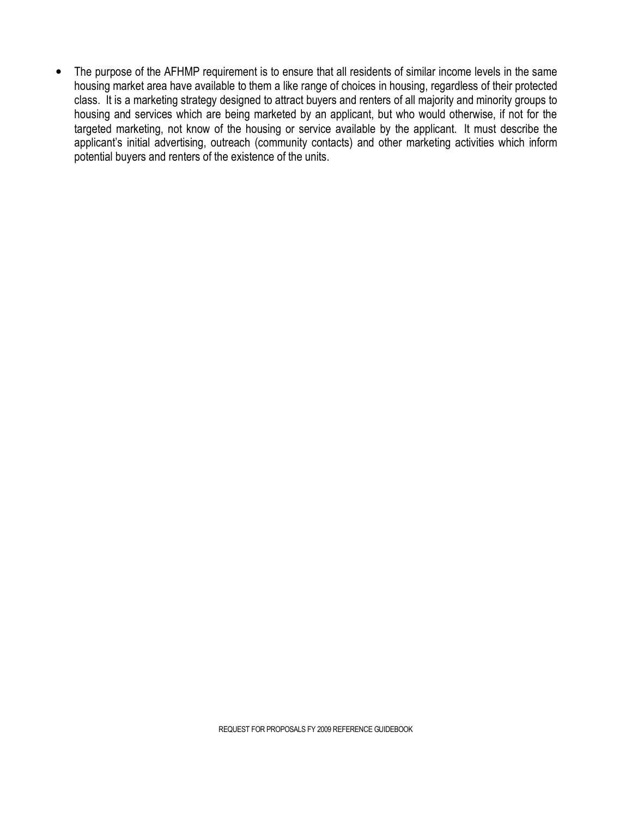The purpose of the AFHMP requirement is to ensure that all residents of similar income levels in the same housing market area have available to them a like range of choices in housing, regardless of their protected class. It is a marketing strategy designed to attract buyers and renters of all majority and minority groups to housing and services which are being marketed by an applicant, but who would otherwise, if not for the targeted marketing, not know of the housing or service available by the applicant. It must describe the applicant's initial advertising, outreach (community contacts) and other marketing activities which inform potential buyers and renters of the existence of the units.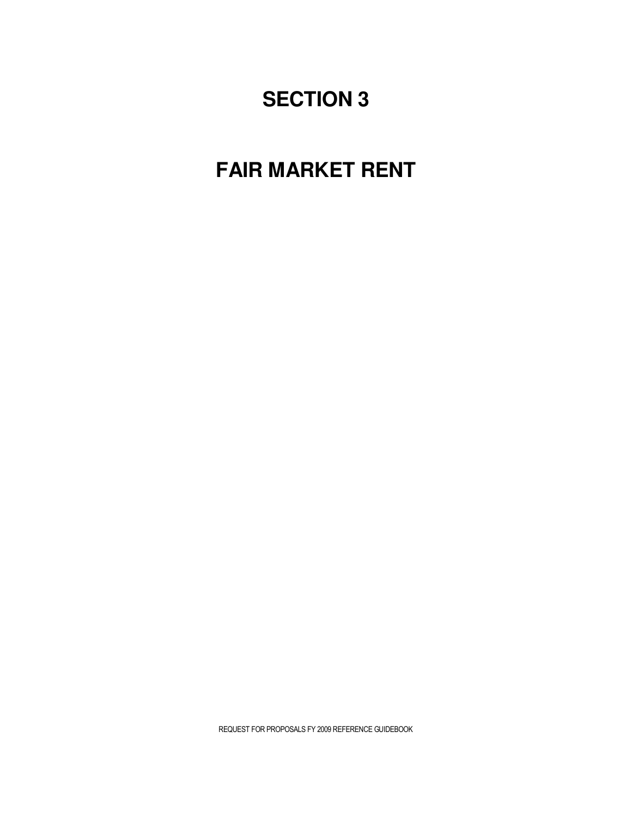### **SECTION 3**

### **FAIR MARKET RENT**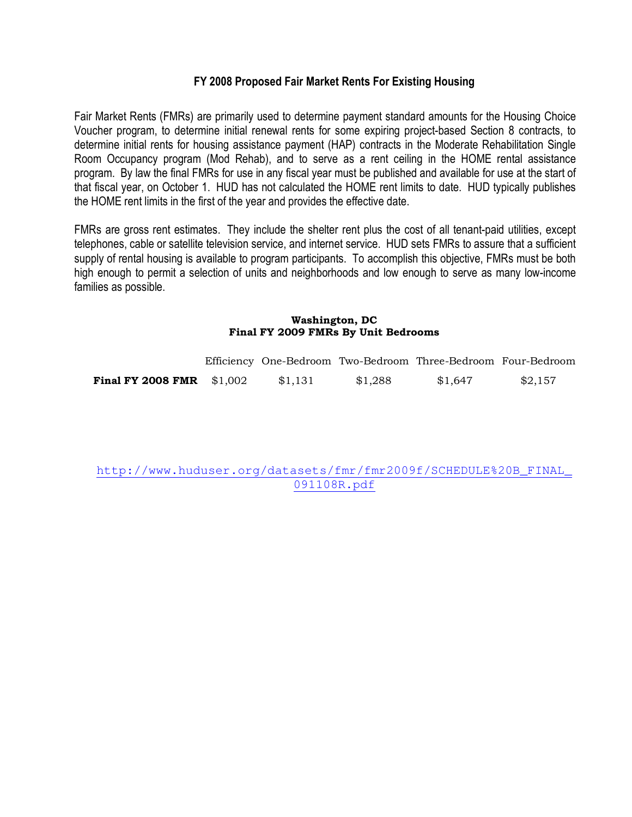#### **FY 2008 Proposed Fair Market Rents For Existing Housing**

Fair Market Rents (FMRs) are primarily used to determine payment standard amounts for the Housing Choice Voucher program, to determine initial renewal rents for some expiring project-based Section 8 contracts, to determine initial rents for housing assistance payment (HAP) contracts in the Moderate Rehabilitation Single Room Occupancy program (Mod Rehab), and to serve as a rent ceiling in the HOME rental assistance program. By law the final FMRs for use in any fiscal year must be published and available for use at the start of that fiscal year, on October 1. HUD has not calculated the HOME rent limits to date. HUD typically publishes the HOME rent limits in the first of the year and provides the effective date.

FMRs are gross rent estimates. They include the shelter rent plus the cost of all tenant-paid utilities, except telephones, cable or satellite television service, and internet service. HUD sets FMRs to assure that a sufficient supply of rental housing is available to program participants. To accomplish this objective, FMRs must be both high enough to permit a selection of units and neighborhoods and low enough to serve as many low-income families as possible.

#### **Washington, DC Final FY 2009 FMRs By Unit Bedrooms**

|                                   |         |         | Efficiency One-Bedroom Two-Bedroom Three-Bedroom Four-Bedroom |         |
|-----------------------------------|---------|---------|---------------------------------------------------------------|---------|
| <b>Final FY 2008 FMR</b> $$1,002$ | \$1,131 | \$1,288 | \$1,647                                                       | \$2,157 |

http://www.huduser.org/datasets/fmr/fmr2009f/SCHEDULE%20B\_FINAL\_ 091108R.pdf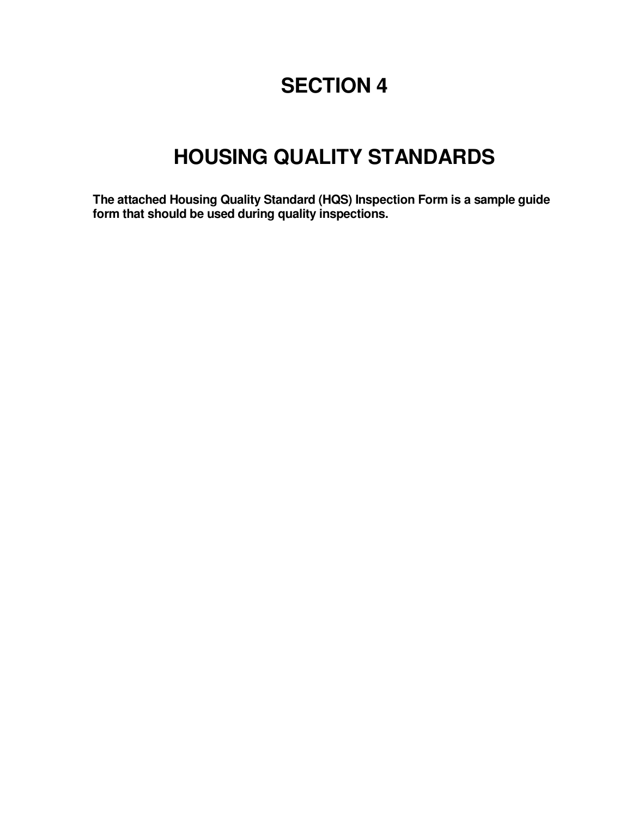### **SECTION 4**

# **HOUSING QUALITY STANDARDS**

**The attached Housing Quality Standard (HQS) Inspection Form is a sample guide form that should be used during quality inspections.**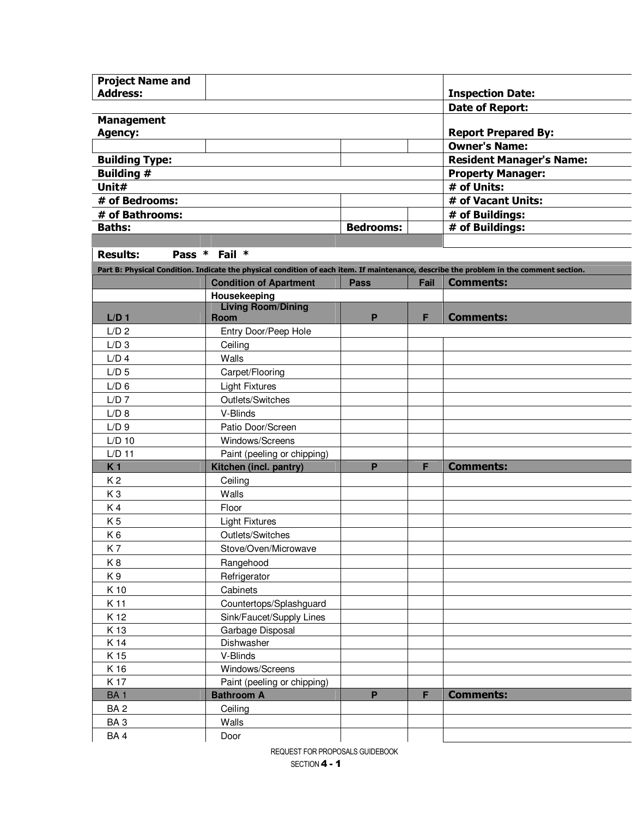| <b>Project Name and</b> |                                                  |                  |      |                                                                                                                                        |
|-------------------------|--------------------------------------------------|------------------|------|----------------------------------------------------------------------------------------------------------------------------------------|
| <b>Address:</b>         |                                                  |                  |      | <b>Inspection Date:</b>                                                                                                                |
|                         |                                                  |                  |      | <b>Date of Report:</b>                                                                                                                 |
| <b>Management</b>       |                                                  |                  |      |                                                                                                                                        |
| <b>Agency:</b>          |                                                  |                  |      | <b>Report Prepared By:</b>                                                                                                             |
|                         |                                                  |                  |      | <b>Owner's Name:</b>                                                                                                                   |
| <b>Building Type:</b>   |                                                  |                  |      | <b>Resident Manager's Name:</b>                                                                                                        |
| <b>Building #</b>       |                                                  |                  |      | <b>Property Manager:</b>                                                                                                               |
| Unit#                   |                                                  |                  |      | # of Units:                                                                                                                            |
| # of Bedrooms:          |                                                  |                  |      | # of Vacant Units:                                                                                                                     |
| # of Bathrooms:         |                                                  |                  |      | # of Buildings:                                                                                                                        |
| <b>Baths:</b>           |                                                  | <b>Bedrooms:</b> |      | # of Buildings:                                                                                                                        |
| <b>Results:</b>         | Pass * Fail *                                    |                  |      |                                                                                                                                        |
|                         |                                                  |                  |      | Part B: Physical Condition. Indicate the physical condition of each item. If maintenance, describe the problem in the comment section. |
|                         | <b>Condition of Apartment</b>                    | <b>Pass</b>      | Fail | <b>Comments:</b>                                                                                                                       |
|                         | Housekeeping                                     |                  |      |                                                                                                                                        |
|                         | <b>Living Room/Dining</b>                        |                  |      |                                                                                                                                        |
| $L/D$ 1                 | <b>Room</b>                                      | P                | F    | <b>Comments:</b>                                                                                                                       |
| L/D <sub>2</sub>        | Entry Door/Peep Hole                             |                  |      |                                                                                                                                        |
| $L/D$ 3                 | Ceiling                                          |                  |      |                                                                                                                                        |
| $L/D$ 4                 | Walls                                            |                  |      |                                                                                                                                        |
| $L/D$ 5                 | Carpet/Flooring                                  |                  |      |                                                                                                                                        |
| $L/D$ 6                 | <b>Light Fixtures</b>                            |                  |      |                                                                                                                                        |
| $L/D$ 7                 | Outlets/Switches                                 |                  |      |                                                                                                                                        |
| L/D 8                   | V-Blinds                                         |                  |      |                                                                                                                                        |
| $L/D$ 9                 | Patio Door/Screen                                |                  |      |                                                                                                                                        |
| $L/D$ 10                | Windows/Screens                                  |                  |      |                                                                                                                                        |
| $L/D$ 11                | Paint (peeling or chipping)                      |                  |      |                                                                                                                                        |
| K <sub>1</sub>          | Kitchen (incl. pantry)                           | P                | F    | <b>Comments:</b>                                                                                                                       |
| K <sub>2</sub>          | Ceiling                                          |                  |      |                                                                                                                                        |
| K <sub>3</sub>          | Walls                                            |                  |      |                                                                                                                                        |
| K4                      | Floor                                            |                  |      |                                                                                                                                        |
| K <sub>5</sub>          | <b>Light Fixtures</b>                            |                  |      |                                                                                                                                        |
| K6                      | Outlets/Switches                                 |                  |      |                                                                                                                                        |
| K7                      | Stove/Oven/Microwave                             |                  |      |                                                                                                                                        |
| K8                      | Rangehood                                        |                  |      |                                                                                                                                        |
| K9                      | Refrigerator                                     |                  |      |                                                                                                                                        |
| K 10                    | Cabinets                                         |                  |      |                                                                                                                                        |
| K 11                    | Countertops/Splashguard                          |                  |      |                                                                                                                                        |
| K 12                    | Sink/Faucet/Supply Lines                         |                  |      |                                                                                                                                        |
| K 13                    | Garbage Disposal                                 |                  |      |                                                                                                                                        |
| K 14                    | Dishwasher                                       |                  |      |                                                                                                                                        |
| K 15                    | V-Blinds                                         |                  |      |                                                                                                                                        |
| K 16<br>K 17            | Windows/Screens                                  |                  |      |                                                                                                                                        |
| <b>BA1</b>              | Paint (peeling or chipping)<br><b>Bathroom A</b> | P                | F    | <b>Comments:</b>                                                                                                                       |
| BA <sub>2</sub>         | Ceiling                                          |                  |      |                                                                                                                                        |
| BA3                     | Walls                                            |                  |      |                                                                                                                                        |
| BA4                     | Door                                             |                  |      |                                                                                                                                        |
|                         |                                                  |                  |      |                                                                                                                                        |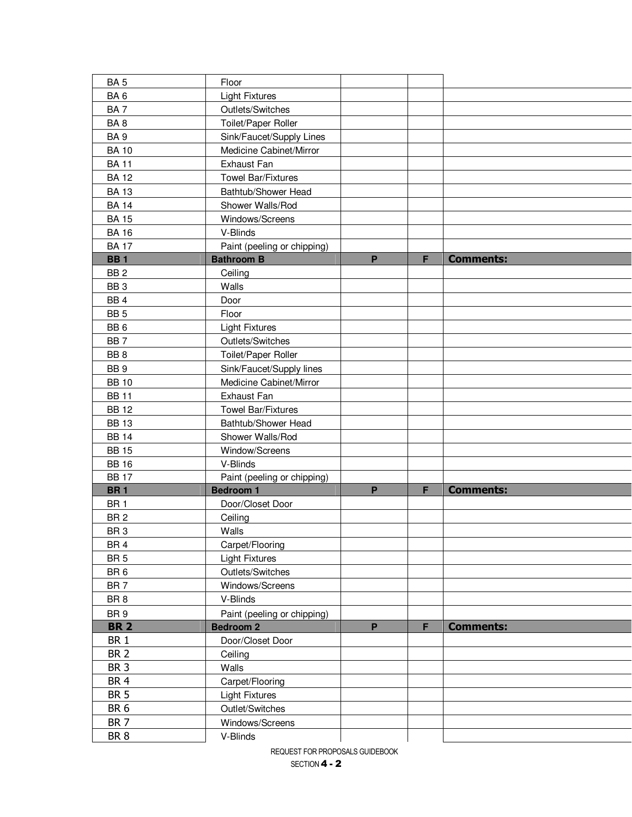| BA <sub>5</sub> | Floor                       |              |   |                  |
|-----------------|-----------------------------|--------------|---|------------------|
| BA6             | <b>Light Fixtures</b>       |              |   |                  |
| BA7             | Outlets/Switches            |              |   |                  |
| BA8             | Toilet/Paper Roller         |              |   |                  |
| BA <sub>9</sub> | Sink/Faucet/Supply Lines    |              |   |                  |
| <b>BA10</b>     | Medicine Cabinet/Mirror     |              |   |                  |
| <b>BA11</b>     | <b>Exhaust Fan</b>          |              |   |                  |
| <b>BA12</b>     | <b>Towel Bar/Fixtures</b>   |              |   |                  |
| <b>BA13</b>     | Bathtub/Shower Head         |              |   |                  |
| <b>BA 14</b>    | Shower Walls/Rod            |              |   |                  |
| <b>BA 15</b>    | Windows/Screens             |              |   |                  |
| <b>BA 16</b>    | V-Blinds                    |              |   |                  |
| <b>BA17</b>     | Paint (peeling or chipping) |              |   |                  |
| <b>BB1</b>      | <b>Bathroom B</b>           | P            | F | <b>Comments:</b> |
| BB <sub>2</sub> | Ceiling                     |              |   |                  |
| BB <sub>3</sub> | Walls                       |              |   |                  |
| BB <sub>4</sub> | Door                        |              |   |                  |
| BB <sub>5</sub> | Floor                       |              |   |                  |
| BB <sub>6</sub> | <b>Light Fixtures</b>       |              |   |                  |
| BB <sub>7</sub> | Outlets/Switches            |              |   |                  |
| BB <sub>8</sub> | Toilet/Paper Roller         |              |   |                  |
| BB <sub>9</sub> | Sink/Faucet/Supply lines    |              |   |                  |
| <b>BB10</b>     | Medicine Cabinet/Mirror     |              |   |                  |
| <b>BB11</b>     | <b>Exhaust Fan</b>          |              |   |                  |
| <b>BB12</b>     | <b>Towel Bar/Fixtures</b>   |              |   |                  |
| <b>BB13</b>     | Bathtub/Shower Head         |              |   |                  |
| <b>BB 14</b>    | Shower Walls/Rod            |              |   |                  |
| <b>BB15</b>     | Window/Screens              |              |   |                  |
| <b>BB 16</b>    | V-Blinds                    |              |   |                  |
| <b>BB17</b>     | Paint (peeling or chipping) |              |   |                  |
| <b>BR1</b>      | <b>Bedroom 1</b>            | $\mathsf{P}$ | F | <b>Comments:</b> |
| BR <sub>1</sub> | Door/Closet Door            |              |   |                  |
| BR <sub>2</sub> | Ceiling                     |              |   |                  |
| BR <sub>3</sub> | Walls                       |              |   |                  |
| BR <sub>4</sub> | Carpet/Flooring             |              |   |                  |
| BR <sub>5</sub> | <b>Light Fixtures</b>       |              |   |                  |
| BR <sub>6</sub> | Outlets/Switches            |              |   |                  |
| BR <sub>7</sub> | Windows/Screens             |              |   |                  |
| BR <sub>8</sub> | V-Blinds                    |              |   |                  |
| BR <sub>9</sub> | Paint (peeling or chipping) |              |   |                  |
| <b>BR 2</b>     | <b>Bedroom 2</b>            | P            | F | <b>Comments:</b> |
| <b>BR1</b>      | Door/Closet Door            |              |   |                  |
| BR <sub>2</sub> | Ceiling                     |              |   |                  |
| BR <sub>3</sub> | Walls                       |              |   |                  |
| BR <sub>4</sub> | Carpet/Flooring             |              |   |                  |
| <b>BR 5</b>     | <b>Light Fixtures</b>       |              |   |                  |
| BR <sub>6</sub> | Outlet/Switches             |              |   |                  |
| BR <sub>7</sub> | Windows/Screens             |              |   |                  |
| BR <sub>8</sub> | V-Blinds                    |              |   |                  |
|                 |                             |              |   |                  |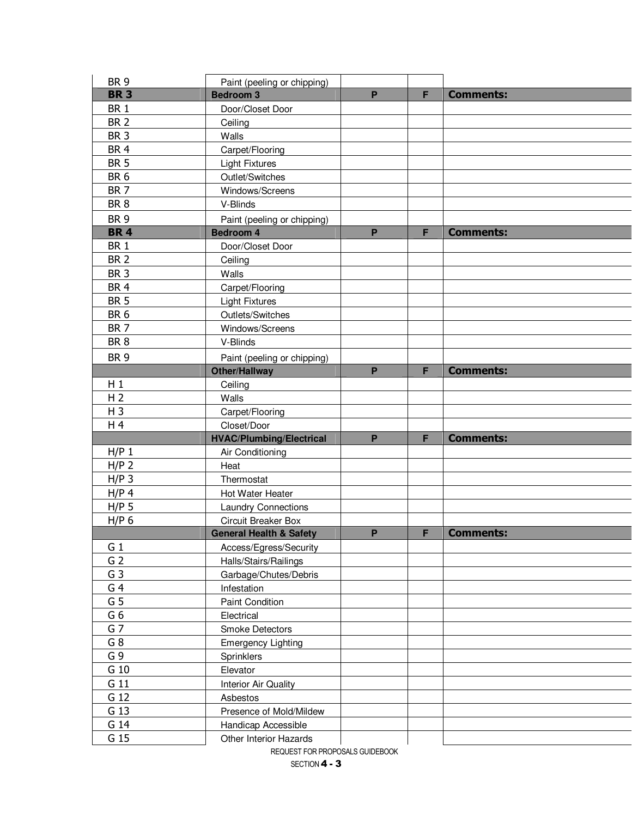| BR <sub>9</sub> | Paint (peeling or chipping)                   |   |   |                  |
|-----------------|-----------------------------------------------|---|---|------------------|
| <b>BR3</b>      | <b>Bedroom 3</b>                              | P | F | <b>Comments:</b> |
| BR <sub>1</sub> | Door/Closet Door                              |   |   |                  |
| BR <sub>2</sub> | Ceiling                                       |   |   |                  |
| BR <sub>3</sub> | Walls                                         |   |   |                  |
| BR <sub>4</sub> | Carpet/Flooring                               |   |   |                  |
| <b>BR 5</b>     | <b>Light Fixtures</b>                         |   |   |                  |
| BR <sub>6</sub> | Outlet/Switches                               |   |   |                  |
| BR <sub>7</sub> | Windows/Screens                               |   |   |                  |
| BR <sub>8</sub> | V-Blinds                                      |   |   |                  |
| BR <sub>9</sub> | Paint (peeling or chipping)                   |   |   |                  |
| <b>BR4</b>      | <b>Bedroom 4</b>                              | P | F | <b>Comments:</b> |
| BR <sub>1</sub> | Door/Closet Door                              |   |   |                  |
| BR <sub>2</sub> | Ceiling                                       |   |   |                  |
| BR <sub>3</sub> | Walls                                         |   |   |                  |
| BR <sub>4</sub> | Carpet/Flooring                               |   |   |                  |
| <b>BR 5</b>     | <b>Light Fixtures</b>                         |   |   |                  |
| BR <sub>6</sub> | Outlets/Switches                              |   |   |                  |
| BR <sub>7</sub> | Windows/Screens                               |   |   |                  |
| BR <sub>8</sub> | V-Blinds                                      |   |   |                  |
| BR <sub>9</sub> | Paint (peeling or chipping)                   |   |   |                  |
|                 | Other/Hallway                                 | P | F | <b>Comments:</b> |
| $H_1$           | Ceiling                                       |   |   |                  |
| H <sub>2</sub>  | Walls                                         |   |   |                  |
| $H_3$           | Carpet/Flooring                               |   |   |                  |
|                 |                                               |   |   |                  |
| H 4             | Closet/Door                                   |   |   |                  |
|                 | <b>HVAC/Plumbing/Electrical</b>               | P | F | <b>Comments:</b> |
| $H/P$ 1         | Air Conditioning                              |   |   |                  |
| $H/P$ 2         | Heat                                          |   |   |                  |
| $H/P$ 3         | Thermostat                                    |   |   |                  |
| $H/P$ 4         | Hot Water Heater                              |   |   |                  |
| $H/P$ 5         | <b>Laundry Connections</b>                    |   |   |                  |
| $H/P$ 6         | Circuit Breaker Box                           |   |   |                  |
|                 | <b>General Health &amp; Safety</b>            | P | F | <b>Comments:</b> |
| G <sub>1</sub>  | Access/Egress/Security                        |   |   |                  |
| G <sub>2</sub>  | Halls/Stairs/Railings                         |   |   |                  |
| G <sub>3</sub>  | Garbage/Chutes/Debris                         |   |   |                  |
| G <sub>4</sub>  | Infestation                                   |   |   |                  |
| G <sub>5</sub>  | <b>Paint Condition</b>                        |   |   |                  |
| G6              | Electrical                                    |   |   |                  |
| G <sub>7</sub>  | Smoke Detectors                               |   |   |                  |
| G 8             | <b>Emergency Lighting</b>                     |   |   |                  |
| G9              | Sprinklers                                    |   |   |                  |
| G 10            | Elevator                                      |   |   |                  |
| G 11            | Interior Air Quality                          |   |   |                  |
| G 12            | Asbestos                                      |   |   |                  |
| G 13            | Presence of Mold/Mildew                       |   |   |                  |
| G 14<br>G 15    | Handicap Accessible<br>Other Interior Hazards |   |   |                  |

REQUEST FOR PROPOSALS GUIDEBOOK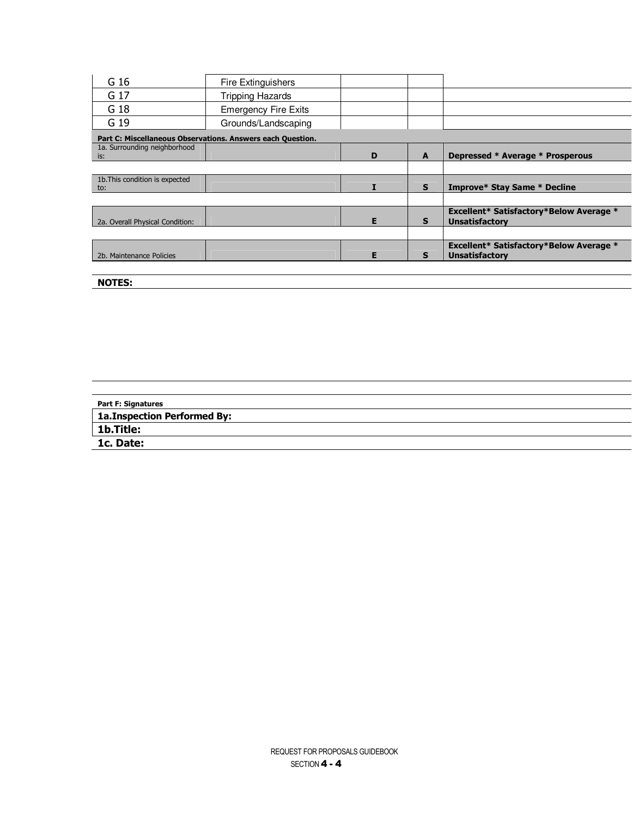| G 16                                  | <b>Fire Extinguishers</b>                                  |   |              |                                                                         |
|---------------------------------------|------------------------------------------------------------|---|--------------|-------------------------------------------------------------------------|
| G 17                                  | <b>Tripping Hazards</b>                                    |   |              |                                                                         |
| G 18                                  | <b>Emergency Fire Exits</b>                                |   |              |                                                                         |
| G 19                                  | Grounds/Landscaping                                        |   |              |                                                                         |
|                                       | Part C: Miscellaneous Observations. Answers each Question. |   |              |                                                                         |
| 1a. Surrounding neighborhood<br>is:   |                                                            | D | $\mathbf{A}$ | Depressed * Average * Prosperous                                        |
|                                       |                                                            |   |              |                                                                         |
| 1b. This condition is expected<br>to: |                                                            |   | $\mathbf{s}$ | <b>Improve* Stay Same * Decline</b>                                     |
|                                       |                                                            |   |              |                                                                         |
| 2a. Overall Physical Condition:       |                                                            | Е | S            | <b>Excellent* Satisfactory*Below Average *</b><br><b>Unsatisfactory</b> |
|                                       |                                                            |   |              |                                                                         |
| 2b. Maintenance Policies              |                                                            | Е | s            | <b>Excellent* Satisfactory*Below Average *</b><br><b>Unsatisfactory</b> |
|                                       |                                                            |   |              |                                                                         |

**NOTES:** 

| <b>Part F: Signatures</b>    |  |
|------------------------------|--|
| 1a. Inspection Performed By: |  |
| <b>1b.Title:</b>             |  |
| 1c. Date:                    |  |
|                              |  |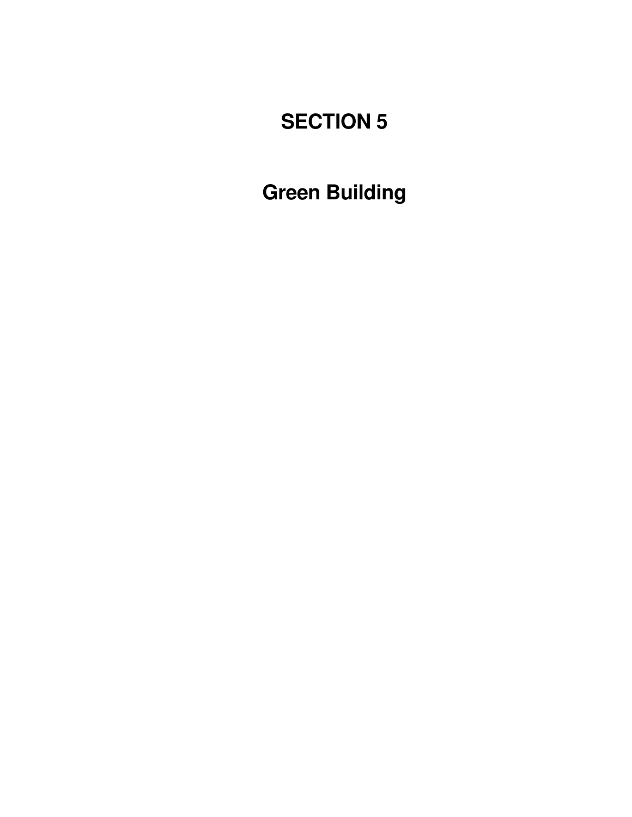# **SECTION 5**

**Green Building**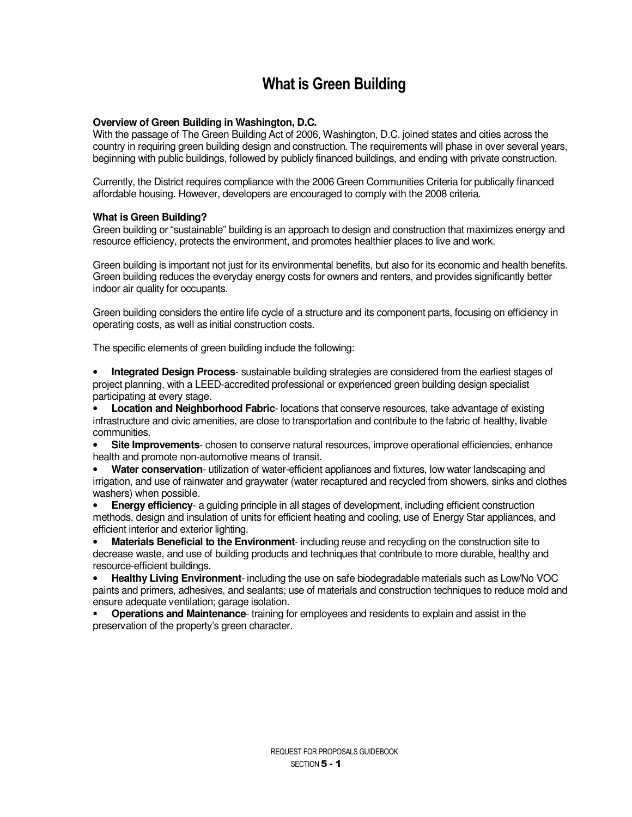### **What is Green Building**

#### **Overview of Green Building in Washington, D.C.**

With the passage of The Green Building Act of 2006, Washington, D.C. joined states and cities across the country in requiring green building design and construction. The requirements will phase in over several years, beginning with public buildings, followed by publicly financed buildings, and ending with private construction.

Currently, the District requires compliance with the 2006 Green Communities Criteria for publically financed affordable housing. However, developers are encouraged to comply with the 2008 criteria.

#### **What is Green Building?**

Green building or "sustainable" building is an approach to design and construction that maximizes energy and resource efficiency, protects the environment, and promotes healthier places to live and work.

Green building is important not just for its environmental benefits, but also for its economic and health benefits. Green building reduces the everyday energy costs for owners and renters, and provides significantly better indoor air quality for occupants.

Green building considers the entire life cycle of a structure and its component parts, focusing on efficiency in operating costs, as well as initial construction costs.

The specific elements of green building include the following:

• **Integrated Design Process**- sustainable building strategies are considered from the earliest stages of project planning, with a LEED-accredited professional or experienced green building design specialist participating at every stage.

**Location and Neighborhood Fabric**- locations that conserve resources, take advantage of existing infrastructure and civic amenities, are close to transportation and contribute to the fabric of healthy, livable communities.

• **Site Improvements**- chosen to conserve natural resources, improve operational efficiencies, enhance health and promote non-automotive means of transit.

• **Water conservation**- utilization of water-efficient appliances and fixtures, low water landscaping and irrigation, and use of rainwater and graywater (water recaptured and recycled from showers, sinks and clothes washers) when possible.

• **Energy efficiency**- a guiding principle in all stages of development, including efficient construction methods, design and insulation of units for efficient heating and cooling, use of Energy Star appliances, and efficient interior and exterior lighting.

• **Materials Beneficial to the Environment**- including reuse and recycling on the construction site to decrease waste, and use of building products and techniques that contribute to more durable, healthy and resource-efficient buildings.

• **Healthy Living Environment**- including the use on safe biodegradable materials such as Low/No VOC paints and primers, adhesives, and sealants; use of materials and construction techniques to reduce mold and ensure adequate ventilation; garage isolation.

- **Operations and Maintenance**- training for employees and residents to explain and assist in the preservation of the property's green character.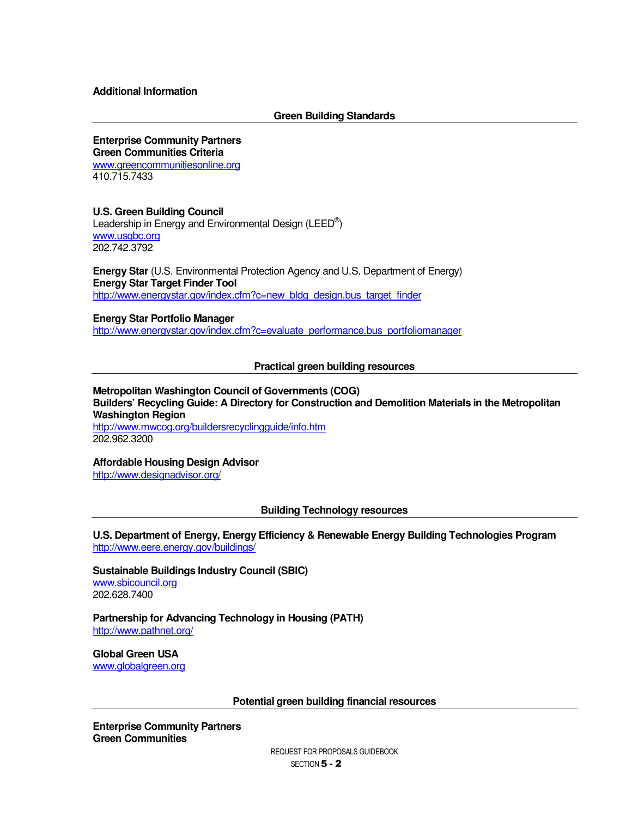#### **Additional Information**

#### **Green Building Standards**

#### **Enterprise Community Partners**

**Green Communities Criteria** 

www.greencommunitiesonline.org 410.715.7433

#### **U.S. Green Building Council**

Leadership in Energy and Environmental Design (LEED<sup>®</sup>) www.usgbc.org 202.742.3792

**Energy Star** (U.S. Environmental Protection Agency and U.S. Department of Energy) **Energy Star Target Finder Tool**  http://www.energystar.gov/index.cfm?c=new\_bldg\_design.bus\_target\_finder

#### **Energy Star Portfolio Manager**

http://www.energystar.gov/index.cfm?c=evaluate\_performance.bus\_portfoliomanager

#### **Practical green building resources**

#### **Metropolitan Washington Council of Governments (COG) Builders' Recycling Guide: A Directory for Construction and Demolition Materials in the Metropolitan Washington Region**

http://www.mwcog.org/buildersrecyclingguide/info.htm 202.962.3200

#### **Affordable Housing Design Advisor**

http://www.designadvisor.org/

#### **Building Technology resources**

**U.S. Department of Energy, Energy Efficiency & Renewable Energy Building Technologies Program**  http://www.eere.energy.gov/buildings/

**Sustainable Buildings Industry Council (SBIC)**  www.sbicouncil.org 202.628.7400

**Partnership for Advancing Technology in Housing (PATH)**  http://www.pathnet.org/

**Global Green USA**  www.globalgreen.org

**Potential green building financial resources** 

**Enterprise Community Partners Green Communities**